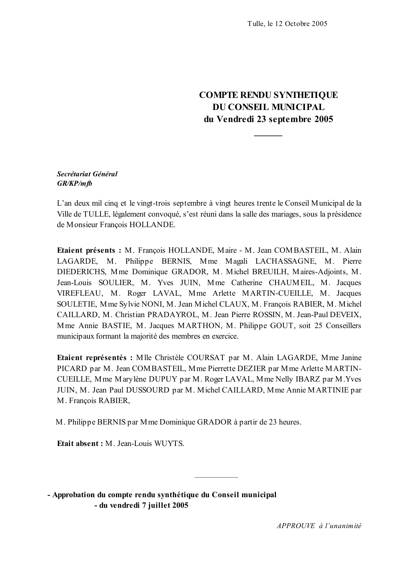# **COMPTE RENDU SYNTHETIQUE DU CONSEIL MUNICIPAL** du Vendredi 23 septembre 2005

### Secrétariat Général  $GR/KP/mfb$

L'an deux mil cinq et le vingt-trois septembre à vingt heures trente le Conseil Municipal de la Ville de TULLE, légalement convoqué, s'est réuni dans la salle des mariages, sous la présidence de Monsieur François HOLLANDE.

Etaient présents : M. Francois HOLLANDE, Maire - M. Jean COMBASTEIL, M. Alain LAGARDE, M. Philippe BERNIS, Mme Magali LACHASSAGNE, M. Pierre DIEDERICHS, Mme Dominique GRADOR, M. Michel BREUILH, Maires-Adjoints, M. Jean-Louis SOULIER, M. Yves JUIN, Mme Catherine CHAUMEIL, M. Jacques VIREFLEAU, M. Roger LAVAL, Mme Arlette MARTIN-CUEILLE, M. Jacques SOULETIE, Mme Sylvie NONI, M. Jean Michel CLAUX, M. François RABIER, M. Michel CAILLARD, M. Christian PRADAYROL, M. Jean Pierre ROSSIN, M. Jean-Paul DEVEIX, Mme Annie BASTIE, M. Jacques MARTHON, M. Philippe GOUT, soit 25 Conseillers municipaux formant la majorité des membres en exercice.

Etaient représentés : Mlle Christèle COURSAT par M. Alain LAGARDE, Mme Janine PICARD par M. Jean COMBASTEIL, Mme Pierrette DEZIER par Mme Arlette MARTIN-CUEILLE, Mme Marylène DUPUY par M. Roger LAVAL, Mme Nelly IBARZ par M. Yves JUIN, M. Jean Paul DUSSOURD par M. Michel CAILLARD, Mme Annie MARTINIE par M. François RABIER,

M. Philippe BERNIS par Mme Dominique GRADOR à partir de 23 heures.

Etait absent: M. Jean-Louis WUYTS.

- Approbation du compte rendu synthétique du Conseil municipal - du vendredi 7 juillet 2005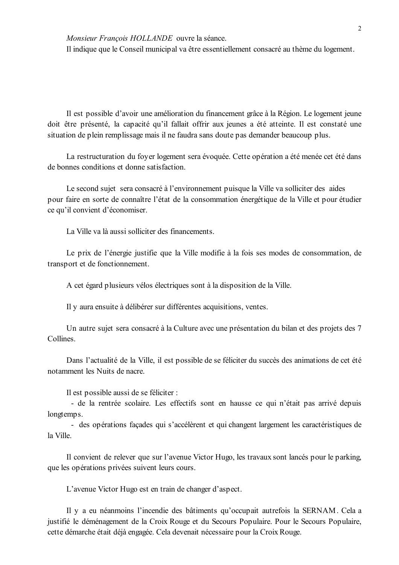Monsieur François HOLLANDE ouvre la séance.

Il indique que le Conseil municipal va être essentiellement consacré au thème du logement.

Il est possible d'avoir une amélioration du financement grâce à la Région. Le logement jeune doit être présenté, la capacité qu'il fallait offrir aux jeunes a été atteinte. Il est constaté une situation de plein remplissage mais il ne faudra sans doute pas demander beaucoup plus.

La restructuration du foyer logement sera évoquée. Cette opération a été menée cet été dans de bonnes conditions et donne satisfaction

Le second sujet sera consacré à l'environnement puisque la Ville va solliciter des aides pour faire en sorte de connaître l'état de la consommation énergétique de la Ville et pour étudier ce qu'il convient d'économiser.

La Ville va là aussi solliciter des financements.

Le prix de l'énergie justifie que la Ville modifie à la fois ses modes de consommation, de transport et de fonctionnement.

A cet égard plusieurs vélos électriques sont à la disposition de la Ville.

Il y aura ensuite à délibérer sur différentes acquisitions, ventes.

Un autre sujet sera consacré à la Culture avec une présentation du bilan et des projets des 7 Collines

Dans l'actualité de la Ville, il est possible de se féliciter du succès des animations de cet été notamment les Nuits de nacre.

Il est possible aussi de se féliciter :

- de la rentrée scolaire. Les effectifs sont en hausse ce qui n'était pas arrivé depuis longtemps.

- des opérations façades qui s'accélèrent et qui changent largement les caractéristiques de la Ville

Il convient de relever que sur l'avenue Victor Hugo, les travaux sont lancés pour le parking, que les opérations privées suivent leurs cours.

L'avenue Victor Hugo est en train de changer d'aspect.

Il y a eu néanmoins l'incendie des bâtiments qu'occupait autrefois la SERNAM. Cela a justifié le déménagement de la Croix Rouge et du Secours Populaire. Pour le Secours Populaire, cette démarche était déjà engagée. Cela devenait nécessaire pour la Croix Rouge.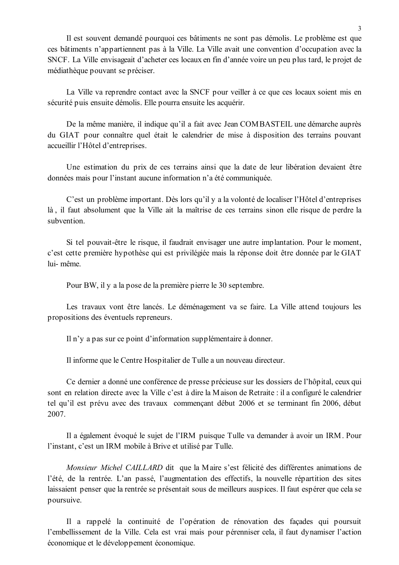Il est souvent demandé pourquoi ces bâtiments ne sont pas démolis. Le problème est que ces bâtiments n'appartiennent pas à la Ville. La Ville avait une convention d'occupation avec la SNCF. La Ville envisage ait d'acheter ces locaux en fin d'année voire un peu plus tard, le projet de médiathèque pouvant se préciser.

La Ville va reprendre contact avec la SNCF pour veiller à ce que ces locaux soient mis en sécurité puis ensuite démolis. Elle pourra ensuite les acquérir.

De la même manière, il indique qu'il a fait avec Jean COMBASTEIL une démarche auprès du GIAT pour connaître quel était le calendrier de mise à disposition des terrains pouvant accueillir l'Hôtel d'entreprises.

Une estimation du prix de ces terrains ainsi que la date de leur libération devaient être données mais pour l'instant aucune information n'a été communiquée.

C'est un problème important. Dès lors qu'il y a la volonté de localiser l'Hôtel d'entreprises là, il faut absolument que la Ville ait la maîtrise de ces terrains sinon elle risque de perdre la subvention

Si tel pouvait-être le risque, il faudrait envisager une autre implantation. Pour le moment, c'est cette première hypothèse qui est privilégiée mais la réponse doit être donnée par le GIAT lui-même

Pour BW, il y a la pose de la première pierre le 30 septembre.

Les travaux vont être lancés. Le déménagement va se faire. La Ville attend toujours les propositions des éventuels repreneurs.

Il n'y a pas sur ce point d'information supplémentaire à donner.

Il informe que le Centre Hospitalier de Tulle a un nouveau directeur.

Ce dernier a donné une conférence de presse précieuse sur les dossiers de l'hôpital, ceux qui sont en relation directe avec la Ville c'est à dire la Maison de Retraite : il a configuré le calendrier tel qu'il est prévu avec des travaux commençant début 2006 et se terminant fin 2006, début 2007.

Il a également évoqué le sujet de l'IRM puisque Tulle va demander à avoir un IRM. Pour l'instant, c'est un IRM mobile à Brive et utilisé par Tulle.

Monsieur Michel CAILLARD dit que la Maire s'est félicité des différentes animations de l'été, de la rentrée. L'an passé, l'augmentation des effectifs, la nouvelle répartition des sites laissaient penser que la rentrée se présentait sous de meilleurs auspices. Il faut espérer que cela se poursuive.

Il a rappelé la continuité de l'opération de rénovation des façades qui poursuit l'embellissement de la Ville. Cela est vrai mais pour pérenniser cela, il faut dynamiser l'action économique et le développement économique.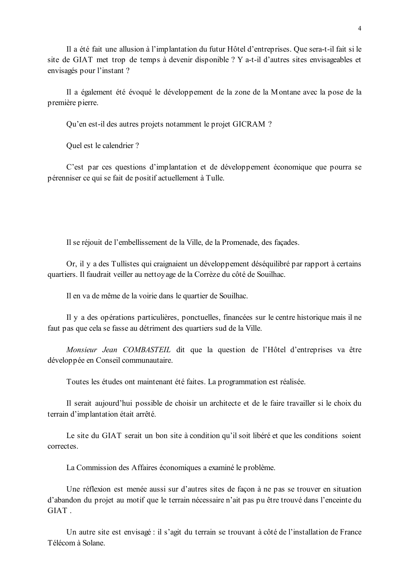Il a été fait une allusion à l'implantation du futur Hôtel d'entreprises. Que sera-t-il fait si le site de GIAT met trop de temps à devenir disponible ? Y a-t-il d'autres sites envisageables et envisagés pour l'instant ?

Il a également été évoqué le développement de la zone de la Montane avec la pose de la première pierre.

Qu'en est-il des autres projets notamment le projet GICRAM ?

Ouel est le calendrier ?

C'est par ces questions d'implantation et de développement économique que pourra se pérenniser ce qui se fait de positif actuellement à Tulle.

Il se réjouit de l'embellissement de la Ville, de la Promenade, des façades.

Or, il y a des Tullistes qui craignaient un développement déséquilibré par rapport à certains quartiers. Il faudrait veiller au nettoyage de la Corrèze du côté de Souilhac.

Il en va de même de la voirie dans le quartier de Souilhac.

Il y a des opérations particulières, ponctuelles, financées sur le centre historique mais il ne faut pas que cela se fasse au détriment des quartiers sud de la Ville.

Monsieur Jean COMBASTEIL dit que la question de l'Hôtel d'entreprises va être développée en Conseil communautaire.

Toutes les études ont maintenant été faites. La programmation est réalisée.

Il serait aujourd'hui possible de choisir un architecte et de le faire travailler si le choix du terrain d'implantation était arrêté.

Le site du GIAT serait un bon site à condition qu'il soit libéré et que les conditions soient correctes

La Commission des Affaires économiques a examiné le problème.

Une réflexion est menée aussi sur d'autres sites de façon à ne pas se trouver en situation d'abandon du projet au motif que le terrain nécessaire n'ait pas pu être trouvé dans l'enceinte du **GIAT** 

Un autre site est envisagé : il s'agit du terrain se trouvant à côté de l'installation de France Télécom à Solane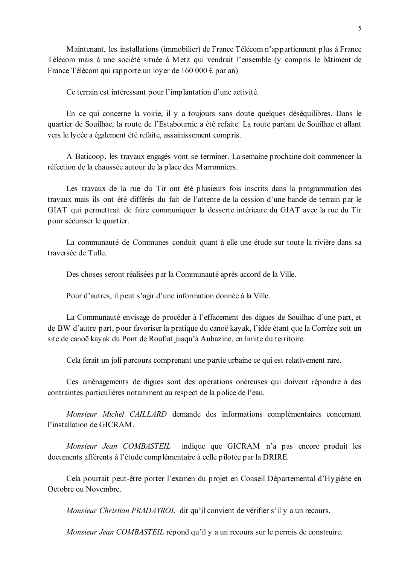Maintenant, les installations (immobilier) de France Télécom n'appartiennent plus à France Télécom mais à une société située à Metz qui vendrait l'ensemble (y compris le bâtiment de France Télécom qui rapporte un lover de 160 000  $\epsilon$  par an)

Ce terrain est intéressant pour l'implantation d'une activité.

En ce qui concerne la voirie, il y a toujours sans doute quelques déséquilibres. Dans le quartier de Souilhac, la route de l'Estabournie a été refaite. La route partant de Souilhac et allant vers le lycée a également été refaite, assainissement compris.

A Baticoop, les travaux engagés vont se terminer. La semaine prochaine doit commencer la réfection de la chaussée autour de la place des Marronniers.

Les travaux de la rue du Tir ont été plusieurs fois inscrits dans la programmation des travaux mais ils ont été différés du fait de l'attente de la cession d'une bande de terrain par le GIAT qui permettrait de faire communiquer la desserte intérieure du GIAT avec la rue du Tir pour sécuriser le quartier.

La communauté de Communes conduit quant à elle une étude sur toute la rivière dans sa traversée de Tulle

Des choses seront réalisées par la Communauté après accord de la Ville.

Pour d'autres, il peut s'agir d'une information donnée à la Ville.

La Communauté envisage de procéder à l'effacement des digues de Souilhac d'une part, et de BW d'autre part, pour favoriser la pratique du canoë kayak, l'idée étant que la Corrèze soit un site de canoë kayak du Pont de Roufiat jusqu'à Aubazine, en limite du territoire.

Cela ferait un joli parcours comprenant une partie urbaine ce qui est relativement rare.

Ces aménagements de digues sont des opérations onéreuses qui doivent répondre à des contraintes particulières notamment au respect de la police de l'eau.

Monsieur Michel CAILLARD demande des informations complémentaires concernant l'installation de GICRAM.

Monsieur Jean COMBASTEIL indique que GICRAM n'a pas encore produit les documents afférents à l'étude complémentaire à celle pilotée par la DRIRE.

Cela pourrait peut-être porter l'examen du projet en Conseil Départemental d'Hygiène en Octobre ou Novembre

Monsieur Christian PRADAYROL dit qu'il convient de vérifier s'il y a un recours.

Monsieur Jean COMBASTEIL répond qu'il y a un recours sur le permis de construire.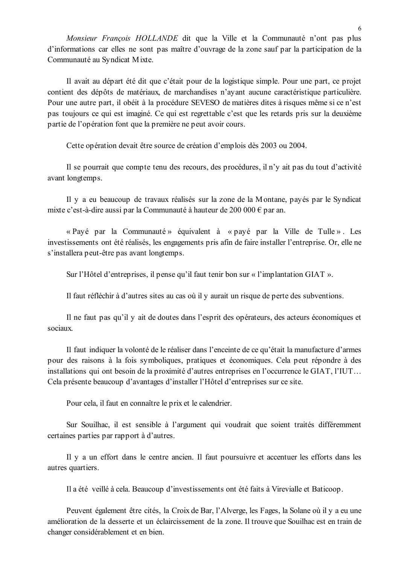Monsieur François HOLLANDE dit que la Ville et la Communauté n'ont pas plus d'informations car elles ne sont pas maître d'ouvrage de la zone sauf par la participation de la Communauté au Syndicat Mixte.

Il avait au départ été dit que c'était pour de la logistique simple. Pour une part, ce projet contient des dépôts de matériaux, de marchandises n'avant aucune caractéristique particulière. Pour une autre part, il obéit à la procédure SEVESO de matières dites à risques même si ce n'est pas toujours ce qui est imaginé. Ce qui est regrettable c'est que les retards pris sur la deuxième partie de l'opération font que la première ne peut avoir cours.

Cette opération devait être source de création d'emplois dès 2003 ou 2004.

Il se pourrait que compte tenu des recours, des procédures, il n'y ait pas du tout d'activité avant longtemps.

Il y a eu beaucoup de travaux réalisés sur la zone de la Montane, payés par le Syndicat mixte c'est-à-dire aussi par la Communauté à hauteur de 200 000 € par an.

« Pavé par la Communauté » équivalent à « pavé par la Ville de Tulle ». Les investissements ont été réalisés, les engagements pris afin de faire installer l'entreprise. Or, elle ne s'installera peut-être pas avant longtemps.

Sur l'Hôtel d'entreprises, il pense qu'il faut tenir bon sur « l'implantation GIAT ».

Il faut réfléchir à d'autres sites au cas où il y aurait un risque de perte des subventions.

Il ne faut pas qu'il y ait de doutes dans l'esprit des opérateurs, des acteurs économiques et sociaux

Il faut indiquer la volonté de le réaliser dans l'enceinte de ce qu'était la manufacture d'armes pour des raisons à la fois symboliques, pratiques et économiques. Cela peut répondre à des installations qui ont besoin de la proximité d'autres entreprises en l'occurrence le GIAT, l'IUT... Cela présente beaucoup d'avantages d'installer l'Hôtel d'entreprises sur ce site.

Pour cela, il faut en connaître le prix et le calendrier.

Sur Souilhac, il est sensible à l'argument qui voudrait que soient traités différemment certaines parties par rapport à d'autres.

Il y a un effort dans le centre ancien. Il faut poursuivre et accentuer les efforts dans les autres quartiers.

Il a été veillé à cela. Beaucoup d'investissements ont été faits à Virevialle et Baticoop.

Peuvent également être cités, la Croix de Bar, l'Alverge, les Fages, la Solane où il y a eu une amélioration de la desserte et un éclaircissement de la zone. Il trouve que Souilhac est en train de changer considérablement et en bien.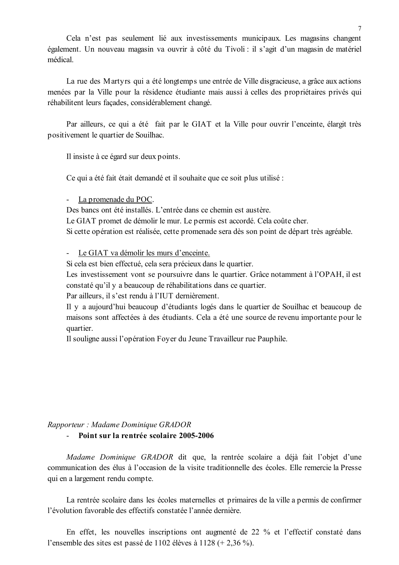Cela n'est pas seulement lié aux investissements municipaux. Les magasins changent également. Un nouveau magasin va ouvrir à côté du Tivoli : il s'agit d'un magasin de matériel médical.

La rue des Martyrs qui a été longtemps une entrée de Ville disgracieuse, a grâce aux actions menées par la Ville pour la résidence étudiante mais aussi à celles des propriétaires privés qui réhabilitent leurs façades, considérablement changé.

Par ailleurs, ce qui a été fait par le GIAT et la Ville pour ouvrir l'enceinte, élargit très positivement le quartier de Souilhac.

Il insiste à ce égard sur deux points.

Ce qui a été fait était demandé et il souhaite que ce soit plus utilisé :

La promenade du POC.

Des bancs ont été installés. L'entrée dans ce chemin est austère.

Le GIAT promet de démolir le mur. Le permis est accordé. Cela coûte cher.

Si cette opération est réalisée, cette promenade sera dès son point de départ très agréable.

Le GIAT va démolir les murs d'enceinte.

Si cela est bien effectué, cela sera précieux dans le quartier.

Les investissement vont se poursuivre dans le quartier. Grâce notamment à l'OPAH, il est constaté qu'il y a beaucoup de réhabilitations dans ce quartier.

Par ailleurs, il s'est rendu à l'IUT dernièrement.

Il y a aujourd'hui beaucoup d'étudiants logés dans le quartier de Souilhac et beaucoup de maisons sont affectées à des étudiants. Cela a été une source de revenu importante pour le quartier.

Il souligne aussi l'opération Foyer du Jeune Travailleur rue Pauphile.

#### Rapporteur : Madame Dominique GRADOR

### - Point sur la rentrée scolaire 2005-2006

Madame Dominique GRADOR dit que, la rentrée scolaire a déjà fait l'objet d'une communication des élus à l'occasion de la visite traditionnelle des écoles. Elle remercie la Presse qui en a largement rendu compte.

La rentrée scolaire dans les écoles maternelles et primaires de la ville a permis de confirmer l'évolution favorable des effectifs constatée l'année dernière

En effet, les nouvelles inscriptions ont augmenté de 22 % et l'effectif constaté dans l'ensemble des sites est passé de 1102 élèves à 1128 (+ 2,36 %).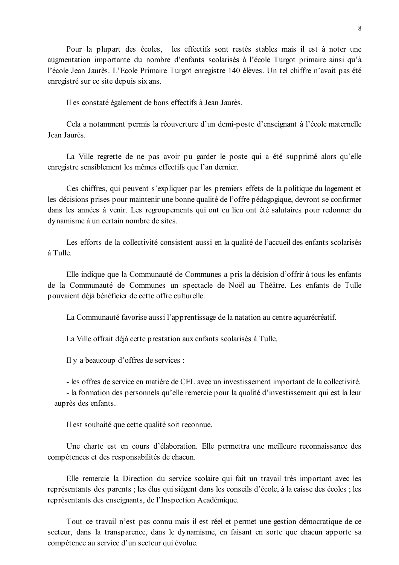Pour la plupart des écoles, les effectifs sont restés stables mais il est à noter une augmentation importante du nombre d'enfants scolarisés à l'école Turgot primaire ainsi qu'à l'école Jean Jaurès, L'Ecole Primaire Turgot enregistre 140 élèves. Un tel chiffre n'avait pas été enregistré sur ce site depuis six ans.

Il es constaté également de bons effectifs à Jean Jaurès.

Cela a notamment permis la réouverture d'un demi-poste d'enseignant à l'école maternelle **Jean Jaurès** 

La Ville regrette de ne pas avoir pu garder le poste qui a été supprimé alors qu'elle enregistre sensiblement les mêmes effectifs que l'an dernier.

Ces chiffres, qui peuvent s'expliquer par les premiers effets de la politique du logement et les décisions prises pour maintenir une bonne qualité de l'offre pédagogique, devront se confirmer dans les années à venir. Les regroupements qui ont eu lieu ont été salutaires pour redonner du dynamisme à un certain nombre de sites.

Les efforts de la collectivité consistent aussi en la qualité de l'accueil des enfants scolarisés à Tulle

Elle indique que la Communauté de Communes a pris la décision d'offrir à tous les enfants de la Communauté de Communes un spectacle de Noël au Théâtre. Les enfants de Tulle pouvaient déjà bénéficier de cette offre culturelle.

La Communauté favorise aussi l'apprentissage de la natation au centre aquarécréatif.

La Ville offrait déjà cette prestation aux enfants scolarisés à Tulle.

Il y a beaucoup d'offres de services :

- les offres de service en matière de CEL avec un investissement important de la collectivité.

- la formation des personnels qu'elle remercie pour la qualité d'investissement qui est la leur auprès des enfants.

Il est souhaité que cette qualité soit reconnue.

Une charte est en cours d'élaboration. Elle permettra une meilleure reconnaissance des compétences et des responsabilités de chacun.

Elle remercie la Direction du service scolaire qui fait un travail très important avec les représentants des parents ; les élus qui siègent dans les conseils d'école, à la caisse des écoles ; les représentants des enseignants, de l'Inspection Académique.

Tout ce travail n'est pas connu mais il est réel et permet une gestion démocratique de ce secteur, dans la transparence, dans le dynamisme, en faisant en sorte que chacun apporte sa compétence au service d'un secteur qui évolue.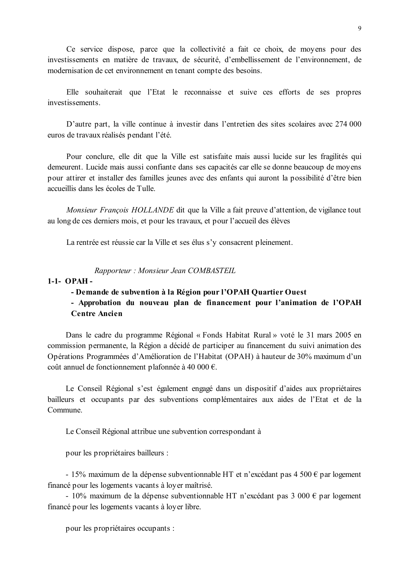Ce service dispose, parce que la collectivité a fait ce choix, de moyens pour des investissements en matière de travaux, de sécurité, d'embellissement de l'environnement, de modernisation de cet environnement en tenant compte des besoins.

Elle souhaiterait que l'Etat le reconnaisse et suive ces efforts de ses propres investissements

D'autre part, la ville continue à investir dans l'entretien des sites scolaires avec 274 000 euros de travaux réalisés pendant l'été.

Pour conclure, elle dit que la Ville est satisfaite mais aussi lucide sur les fragilités qui demeurent. Lucide mais aussi confiante dans ses capacités car elle se donne beaucoup de movens pour attirer et installer des familles jeunes avec des enfants qui auront la possibilité d'être bien accueillis dans les écoles de Tulle

Monsieur François HOLLANDE dit que la Ville a fait preuve d'attention, de vigilance tout au long de ces derniers mois, et pour les travaux, et pour l'accueil des élèves

La rentrée est réussie car la Ville et ses élus s'y consacrent pleinement.

Rapporteur: Monsieur Jean COMBASTEIL

### $1-1-OPAH -$

#### - Demande de subvention à la Région pour l'OPAH Quartier Ouest

## - Approbation du nouveau plan de financement pour l'animation de l'OPAH **Centre Ancien**

Dans le cadre du programme Régional « Fonds Habitat Rural » voté le 31 mars 2005 en commission permanente, la Région a décidé de participer au financement du suivi animation des Opérations Programmées d'Amélioration de l'Habitat (OPAH) à hauteur de 30% maximum d'un coût annuel de fonctionnement plafonnée à 40 000 €.

Le Conseil Régional s'est également engagé dans un dispositif d'aides aux propriétaires bailleurs et occupants par des subventions complémentaires aux aides de l'Etat et de la Commune.

Le Conseil Régional attribue une subvention correspondant à

pour les propriétaires bailleurs :

- 15% maximum de la dépense subventionnable HT et n'excédant pas 4 500  $\epsilon$  par logement financé pour les logements vacants à loyer maîtrisé.

- 10% maximum de la dépense subventionnable HT n'excédant pas  $3\,000 \in$  par logement financé pour les logements vacants à loyer libre.

pour les propriétaires occupants :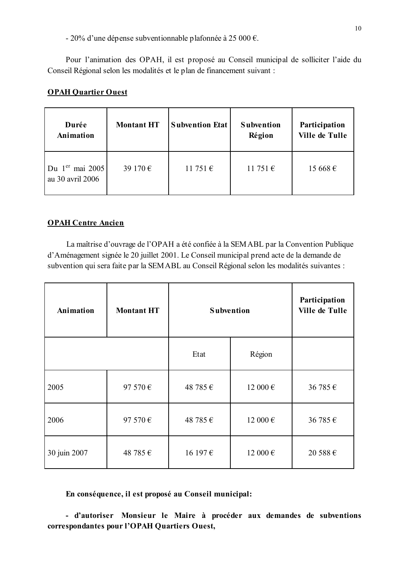- 20% d'une dépense subventionnable plafonnée à 25 000 €.

Pour l'animation des OPAH, il est proposé au Conseil municipal de solliciter l'aide du Conseil Régional selon les modalités et le plan de financement suivant :

# **OPAH Quartier Ouest**

| Durée<br><b>Animation</b>             | <b>Montant HT</b> | <b>Subvention Etat</b> | <b>Subvention</b><br>Région | Participation<br><b>Ville de Tulle</b> |
|---------------------------------------|-------------------|------------------------|-----------------------------|----------------------------------------|
| Du $1er$ mai 2005<br>au 30 avril 2006 | 39 170 €          | 11751€                 | 11 751 €                    | 15668€                                 |

### **OPAH Centre Ancien**

La maîtrise d'ouvrage de l'OPAH a été confiée à la SEMABL par la Convention Publique d'Aménagement signée le 20 juillet 2001. Le Conseil municipal prend acte de la demande de subvention qui sera faite par la SEMABL au Conseil Régional selon les modalités suivantes :

| Animation    | <b>Montant HT</b> | <b>Subvention</b>        |              | Participation<br><b>Ville de Tulle</b> |
|--------------|-------------------|--------------------------|--------------|----------------------------------------|
|              |                   | Etat                     | Région       |                                        |
| 2005         | 97 570 €          | 48 785 €                 | 12000€       | 36 785 €                               |
| 2006         | 97 570 €          | 48 785 €<br>12 000 $\in$ |              | 36 785 €                               |
| 30 juin 2007 | 48 785 €          | 16 197€                  | 12 000 $\in$ | 20 588 $\in$                           |

En conséquence, il est proposé au Conseil municipal:

- d'autoriser Monsieur le Maire à procéder aux demandes de subventions correspondantes pour l'OPAH Quartiers Ouest,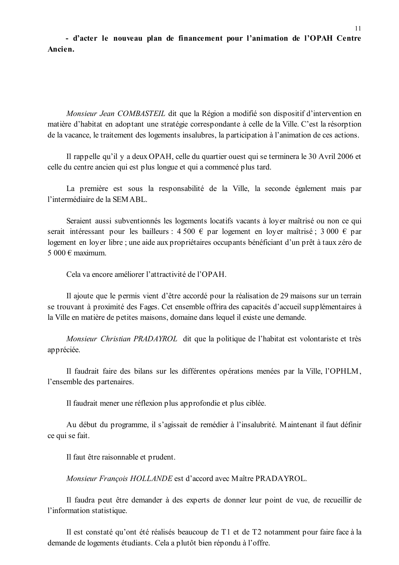- d'acter le nouveau plan de financement pour l'animation de l'OPAH Centre Ancien.

Monsieur Jean COMBASTEIL dit que la Région a modifié son dispositif d'intervention en matière d'habitat en adoptant une stratégie correspondante à celle de la Ville. C'est la résorption de la vacance, le traitement des logements insalubres, la participation à l'animation de ces actions.

Il rappelle qu'il y a deux OPAH, celle du quartier ouest qui se terminera le 30 Avril 2006 et celle du centre ancien qui est plus longue et qui a commencé plus tard.

La première est sous la responsabilité de la Ville, la seconde également mais par l'intermédiaire de la SEMABL

Seraient aussi subventionnés les logements locatifs vacants à loyer maîtrisé ou non ce qui serait intéressant pour les bailleurs : 4 500  $\epsilon$  par logement en loyer maîtrisé ; 3 000  $\epsilon$  par logement en loyer libre ; une aide aux propriétaires occupants bénéficiant d'un prêt à taux zéro de 5.000  $\in$  maximum

Cela va encore améliorer l'attractivité de l'OPAH.

Il ajoute que le permis vient d'être accordé pour la réalisation de 29 maisons sur un terrain se trouvant à proximité des Fages. Cet ensemble offrira des capacités d'accueil supplémentaires à la Ville en matière de petites maisons, domaine dans lequel il existe une demande.

Monsieur Christian PRADAYROL dit que la politique de l'habitat est volontariste et très appréciée.

Il faudrait faire des bilans sur les différentes opérations menées par la Ville, l'OPHLM, l'ensemble des partenaires.

Il faudrait mener une réflexion plus approfondie et plus ciblée.

Au début du programme, il s'agissait de remédier à l'insalubrité. Maintenant il faut définir ce qui se fait.

Il faut être raisonnable et prudent.

Monsieur François HOLLANDE est d'accord avec Maître PRADAYROL.

Il faudra peut être demander à des experts de donner leur point de vue, de recueillir de l'information statistique.

Il est constaté qu'ont été réalisés beaucoup de T1 et de T2 notamment pour faire face à la demande de logements étudiants. Cela a plutôt bien répondu à l'offre.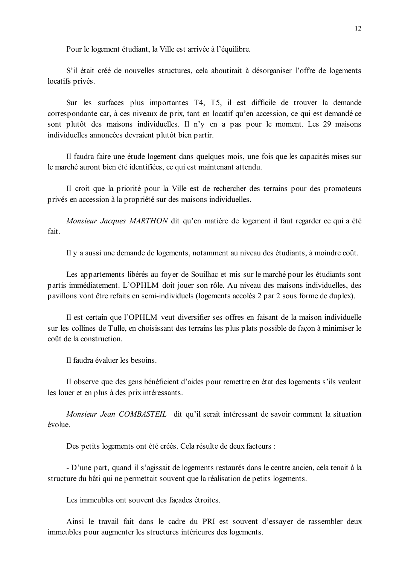Pour le logement étudiant, la Ville est arrivée à l'équilibre.

S'il était créé de nouvelles structures, cela aboutirait à désorganiser l'offre de logements locatifs privés.

Sur les surfaces plus importantes T4, T5, il est difficile de trouver la demande correspondante car, à ces niveaux de prix, tant en locatif qu'en accession, ce qui est demandé ce sont plutôt des maisons individuelles. Il n'y en a pas pour le moment. Les 29 maisons individuelles annoncées devraient plutôt bien partir.

Il faudra faire une étude logement dans quelques mois, une fois que les capacités mises sur le marché auront bien été identifiées, ce qui est maintenant attendu.

Il croit que la priorité pour la Ville est de rechercher des terrains pour des promoteurs privés en accession à la propriété sur des maisons individuelles.

Monsieur Jacques MARTHON dit qu'en matière de logement il faut regarder ce qui a été fait.

Il y a aussi une demande de logements, notamment au niveau des étudiants, à moindre coût.

Les appartements libérés au foyer de Souilhac et mis sur le marché pour les étudiants sont partis immédiatement. L'OPHLM doit jouer son rôle. Au niveau des maisons individuelles, des pavillons vont être refaits en semi-individuels (logements accolés 2 par 2 sous forme de duplex).

Il est certain que l'OPHLM veut diversifier ses offres en faisant de la maison individuelle sur les collines de Tulle, en choisissant des terrains les plus plats possible de façon à minimiser le coût de la construction.

Il faudra évaluer les besoins.

Il observe que des gens bénéficient d'aides pour remettre en état des logements s'ils veulent les louer et en plus à des prix intéressants.

Monsieur Jean COMBASTEIL dit qu'il serait intéressant de savoir comment la situation évolue.

Des petits logements ont été créés. Cela résulte de deux facteurs :

- D'une part, quand il s'agissait de logements restaurés dans le centre ancien, cela tenait à la structure du bâti qui ne permettait souvent que la réalisation de petits logements.

Les immeubles ont souvent des façades étroites.

Ainsi le travail fait dans le cadre du PRI est souvent d'essayer de rassembler deux immeubles pour augmenter les structures intérieures des logements.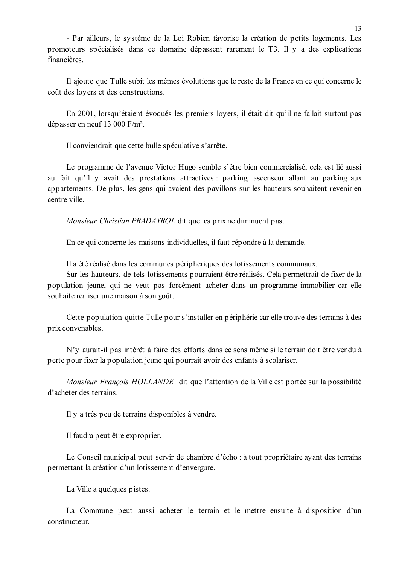- Par ailleurs, le système de la Loi Robien favorise la création de petits logements. Les promoteurs spécialisés dans ce domaine dépassent rarement le T3. Il y a des explications financières.

Il ajoute que Tulle subit les mêmes évolutions que le reste de la France en ce qui concerne le coût des loyers et des constructions.

En 2001, lorsqu'étaient évoqués les premiers loyers, il était dit qu'il ne fallait surtout pas dépasser en neuf 13 000  $F/m^2$ .

Il conviendrait que cette bulle spéculative s'arrête.

Le programme de l'avenue Victor Hugo semble s'être bien commercialisé, cela est lié aussi au fait qu'il y avait des prestations attractives : parking, ascenseur allant au parking aux appartements. De plus, les gens qui avaient des pavillons sur les hauteurs souhaitent revenir en centre ville

Monsieur Christian PRADAYROL dit que les prix ne diminuent pas.

En ce qui concerne les maisons individuelles, il faut répondre à la demande.

Il a été réalisé dans les communes périphériques des lotissements communaux.

Sur les hauteurs, de tels lotissements pourraient être réalisés. Cela permettrait de fixer de la population jeune, qui ne veut pas forcément acheter dans un programme immobilier car elle souhaite réaliser une maison à son goût.

Cette population quitte Tulle pour s'installer en périphérie car elle trouve des terrains à des prix convenables.

N'y aurait-il pas intérêt à faire des efforts dans ce sens même si le terrain doit être vendu à perte pour fixer la population jeune qui pourrait avoir des enfants à scolariser.

Monsieur François HOLLANDE dit que l'attention de la Ville est portée sur la possibilité d'acheter des terrains.

Il y a très peu de terrains disponibles à vendre.

Il faudra peut être exproprier.

Le Conseil municipal peut servir de chambre d'écho : à tout propriétaire ayant des terrains permettant la création d'un lotissement d'envergure.

La Ville a quelques pistes.

La Commune peut aussi acheter le terrain et le mettre ensuite à disposition d'un constructeur.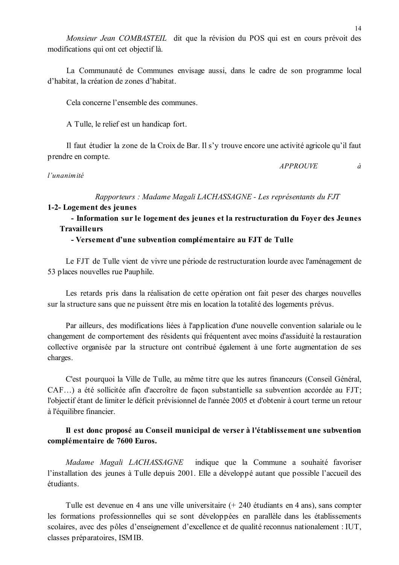Monsieur Jean COMBASTEIL dit que la révision du POS qui est en cours prévoit des modifications qui ont cet objectif là.

La Communauté de Communes envisage aussi, dans le cadre de son programme local d'habitat, la création de zones d'habitat.

Cela concerne l'ensemble des communes

A Tulle, le relief est un handicap fort.

Il faut étudier la zone de la Croix de Bar. Il s'y trouve encore une activité agricole qu'il faut prendre en compte.

#### l'unanimité

Rapporteurs : Madame Magali LACHASSAGNE - Les représentants du FJT

#### 1-2- Logement des jeunes

- Information sur le logement des jeunes et la restructuration du Foyer des Jeunes **Travailleurs** 

#### - Versement d'une subvention complémentaire au FJT de Tulle

Le FJT de Tulle vient de vivre une période de restructuration lourde avec l'aménagement de 53 places nouvelles rue Pauphile.

Les retards pris dans la réalisation de cette opération ont fait peser des charges nouvelles sur la structure sans que ne puissent être mis en location la totalité des logements prévus.

Par ailleurs, des modifications liées à l'application d'une nouvelle convention salariale ou le changement de comportement des résidents qui fréquentent avec moins d'assiduité la restauration collective organisée par la structure ont contribué également à une forte augmentation de ses charges.

C'est pourquoi la Ville de Tulle, au même titre que les autres financeurs (Conseil Général, CAF...) a été sollicitée afin d'accroître de façon substantielle sa subvention accordée au FJT; l'objectif étant de limiter le déficit prévisionnel de l'année 2005 et d'obtenir à court terme un retour à l'équilibre financier.

# Il est donc proposé au Conseil municipal de verser à l'établissement une subvention complémentaire de 7600 Euros.

Madame Magali LACHASSAGNE indique que la Commune a souhaité favoriser l'installation des jeunes à Tulle depuis 2001. Elle a développé autant que possible l'accueil des étudiants

Tulle est devenue en 4 ans une ville universitaire (+ 240 étudiants en 4 ans), sans compter les formations professionnelles qui se sont développées en parallèle dans les établissements scolaires, avec des pôles d'enseignement d'excellence et de qualité reconnus nationalement : IUT, classes préparatoires, ISMIB.

 $\dot{a}$ 

**APPROUVE**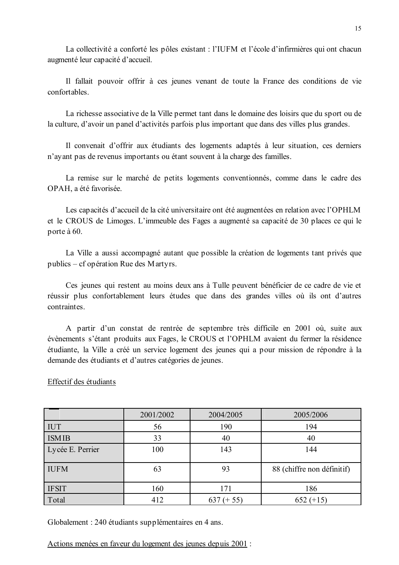La collectivité a conforté les pôles existant : l'IUFM et l'école d'infirmières qui ont chacun augmenté leur capacité d'accueil.

Il fallait pouvoir offrir à ces jeunes venant de toute la France des conditions de vie confortables.

La richesse associative de la Ville permet tant dans le domaine des loisirs que du sport ou de la culture, d'avoir un panel d'activités parfois plus important que dans des villes plus grandes.

Il convenait d'offrir aux étudiants des logements adaptés à leur situation, ces derniers n'ayant pas de revenus importants ou étant souvent à la charge des familles.

La remise sur le marché de petits logements conventionnés, comme dans le cadre des OPAH, a été favorisée.

Les capacités d'accueil de la cité universitaire ont été augmentées en relation avec l'OPHLM et le CROUS de Limoges. L'immeuble des Fages a augmenté sa capacité de 30 places ce qui le porte à 60.

La Ville a aussi accompagné autant que possible la création de logements tant privés que publics – cf opération Rue des Martyrs.

Ces jeunes qui restent au moins deux ans à Tulle peuvent bénéficier de ce cadre de vie et réussir plus confortablement leurs études que dans des grandes villes où ils ont d'autres contraintes

A partir d'un constat de rentrée de septembre très difficile en 2001 où, suite aux évènements s'étant produits aux Fages, le CROUS et l'OPHLM avaient du fermer la résidence étudiante, la Ville a créé un service logement des jeunes qui a pour mission de répondre à la demande des étudiants et d'autres catégories de jeunes.

#### Effectif des étudiants

|                  | 2001/2002 | 2004/2005       | 2005/2006                  |
|------------------|-----------|-----------------|----------------------------|
| <b>IUT</b>       | 56        | 190             | 194                        |
| <b>ISMIB</b>     | 33        | 40              | 40                         |
| Lycée E. Perrier | 100       | 143             | 144                        |
| <b>IUFM</b>      | 63        | 93              | 88 (chiffre non définitif) |
| <b>IFSIT</b>     | 160       | 171             | 186                        |
| Total            | 412       | 637<br>$(+ 55)$ | $652 (+15)$                |

Globalement : 240 étudiants supplémentaires en 4 ans.

Actions menées en faveur du logement des jeunes depuis 2001 :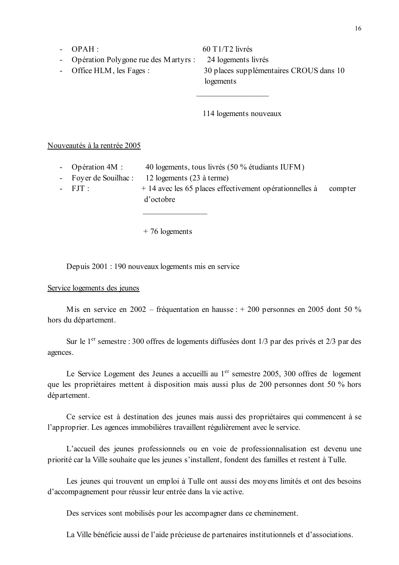- $-$  OPAH :
- Opération Polygone rue des Martyrs :
- Office HLM, les Fages :

 $60$  T1/T2 livrés 24 logements livrés 30 places supplémentaires CROUS dans 10 logements

114 logements nouveaux

Nouveautés à la rentrée 2005

- Opération 4M : 40 logements, tous livrés (50 % étudiants IUFM)
- Foyer de Souilhac : 12 logements (23 à terme)
- $-$  FIT $\cdot$
- $+$  14 avec les 65 places effectivement opérationnelles à compter d'octobre

 $+76$  logements

Depuis 2001 : 190 nouveaux logements mis en service

#### Service logements des jeunes

M is en service en 2002 – fréquentation en hausse :  $+$  200 personnes en 2005 dont 50 % hors du département.

Sur le 1<sup>er</sup> semestre : 300 offres de logements diffusées dont 1/3 par des privés et 2/3 par des agences.

Le Service Logement des Jeunes a accueilli au 1<sup>er</sup> semestre 2005, 300 offres de logement que les propriétaires mettent à disposition mais aussi plus de 200 personnes dont 50 % hors département.

Ce service est à destination des jeunes mais aussi des propriétaires qui commencent à se l'approprier. Les agences immobilières travaillent régulièrement avec le service.

L'accueil des jeunes professionnels ou en voie de professionnalisation est devenu une priorité car la Ville souhaite que les jeunes s'installent, fondent des familles et restent à Tulle.

Les jeunes qui trouvent un emploi à Tulle ont aussi des moyens limités et ont des besoins d'accompagnement pour réussir leur entrée dans la vie active.

Des services sont mobilisés pour les accompagner dans ce cheminement.

La Ville bénéficie aussi de l'aide précieuse de partenaires institutionnels et d'associations.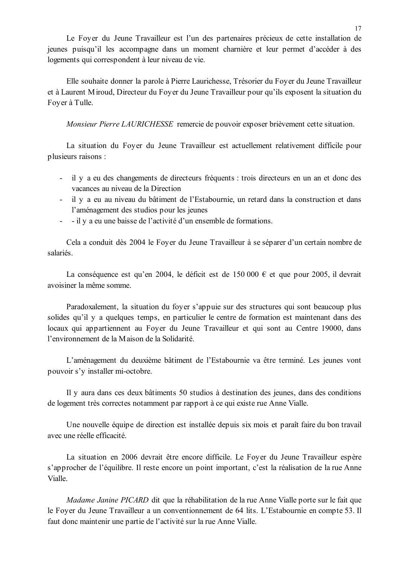Le Foyer du Jeune Travailleur est l'un des partenaires précieux de cette installation de jeunes puisqu'il les accompagne dans un moment charnière et leur permet d'accéder à des logements qui correspondent à leur niveau de vie.

Elle souhaite donner la parole à Pierre Laurichesse, Trésorier du Foyer du Jeune Travailleur et à Laurent Miroud, Directeur du Foyer du Jeune Travailleur pour qu'ils exposent la situation du Foyer à Tulle.

Monsieur Pierre LAURICHESSE remercie de pouvoir exposer brièvement cette situation.

La situation du Foyer du Jeune Travailleur est actuellement relativement difficile pour plusieurs raisons :

- il y a eu des changements de directeurs fréquents : trois directeurs en un an et donc des vacances au niveau de la Direction
- il y a eu au niveau du bâtiment de l'Estabournie, un retard dans la construction et dans l'aménagement des studios pour les jeunes
- - il y a eu une baisse de l'activité d'un ensemble de formations.

Cela a conduit dès 2004 le Foyer du Jeune Travailleur à se séparer d'un certain nombre de salariés

La conséquence est qu'en 2004, le déficit est de 150 000  $\epsilon$  et que pour 2005, il devrait avoisiner la même somme

Paradoxalement, la situation du fover s'appuie sur des structures qui sont beaucoup plus solides qu'il y a quelques temps, en particulier le centre de formation est maintenant dans des locaux qui appartiennent au Foyer du Jeune Travailleur et qui sont au Centre 19000, dans l'environnement de la Maison de la Solidarité.

L'aménagement du deuxième bâtiment de l'Estabournie va être terminé. Les jeunes vont pouvoir s'y installer mi-octobre.

Il y aura dans ces deux bâtiments 50 studios à destination des jeunes, dans des conditions de logement très correctes notamment par rapport à ce qui existe rue Anne Vialle.

Une nouvelle équipe de direction est installée depuis six mois et paraît faire du bon travail avec une réelle efficacité

La situation en 2006 devrait être encore difficile. Le Foyer du Jeune Travailleur espère s'approcher de l'équilibre. Il reste encore un point important, c'est la réalisation de la rue Anne Vialle.

Madame Janine PICARD dit que la réhabilitation de la rue Anne Vialle porte sur le fait que le Foyer du Jeune Travailleur a un conventionnement de 64 lits. L'Estabournie en compte 53. Il faut donc maintenir une partie de l'activité sur la rue Anne Vialle.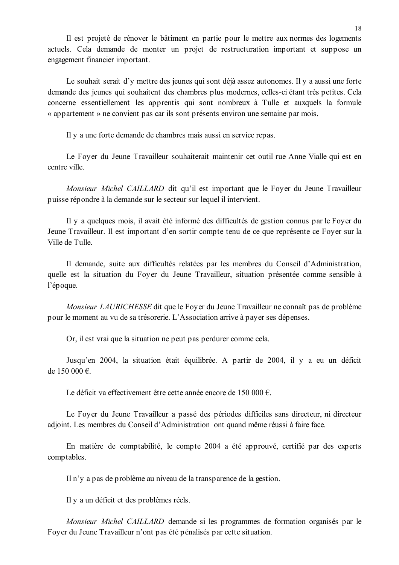Il est projeté de rénover le bâtiment en partie pour le mettre aux normes des logements actuels. Cela demande de monter un projet de restructuration important et suppose un engagement financier important.

Le souhait serait d'y mettre des jeunes qui sont déjà assez autonomes. Il y a aussi une forte demande des jeunes qui souhaitent des chambres plus modernes, celles-ci étant très petites. Cela concerne essentiellement les apprentis qui sont nombreux à Tulle et auxquels la formule « appartement » ne convient pas car ils sont présents environ une semaine par mois.

Il y a une forte demande de chambres mais aussi en service repas.

Le Foyer du Jeune Travailleur souhaiterait maintenir cet outil rue Anne Vialle qui est en centre ville

*Monsieur Michel CAILLARD* dit qu'il est important que le Foyer du Jeune Travailleur puisse répondre à la demande sur le secteur sur lequel il intervient.

Il y a quelques mois, il avait été informé des difficultés de gestion connus par le Foyer du Jeune Travailleur. Il est important d'en sortir compte tenu de ce que représente ce Fover sur la Ville de Tulle.

Il demande, suite aux difficultés relatées par les membres du Conseil d'Administration, quelle est la situation du Foyer du Jeune Travailleur, situation présentée comme sensible à l'époque.

*Monsieur LAURICHESSE* dit que le Foyer du Jeune Travailleur ne connaît pas de problème pour le moment au vu de sa trésorerie. L'Association arrive à payer ses dépenses.

Or, il est vrai que la situation ne peut pas perdurer comme cela.

Jusqu'en 2004, la situation était équilibrée. A partir de 2004, il y a eu un déficit de 150 000  $\epsilon$ .

Le déficit va effectivement être cette année encore de 150 000  $\epsilon$ .

Le Foyer du Jeune Travailleur a passé des périodes difficiles sans directeur, ni directeur adjoint. Les membres du Conseil d'Administration ont quand même réussi à faire face.

En matière de comptabilité, le compte 2004 a été approuvé, certifié par des experts comptables.

Il n'y a pas de problème au niveau de la transparence de la gestion.

Il y a un déficit et des problèmes réels.

Monsieur Michel CAILLARD demande si les programmes de formation organisés par le Foyer du Jeune Travailleur n'ont pas été pénalisés par cette situation.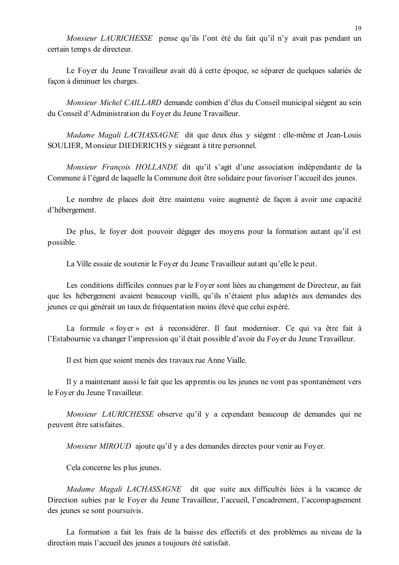Monsieur LAURICHESSE pense qu'ils l'ont été du fait qu'il n'y avait pas pendant un certain temps de directeur.

Le Fover du Jeune Travailleur avait dû à cette époque, se séparer de quelques salariés de façon à diminuer les charges.

Monsieur Michel CAILLARD demande combien d'élus du Conseil municipal siègent au sein du Conseil d'Administration du Foyer du Jeune Travailleur.

Madame Magali LACHASSAGNE dit que deux élus y siègent : elle-même et Jean-Louis SOULIER, Monsieur DIEDERICHS y siégeant à titre personnel.

Monsieur Francois HOLLANDE dit qu'il s'agit d'une association indépendante de la Commune à l'égard de laquelle la Commune doit être solidaire pour favoriser l'accueil des jeunes.

Le nombre de places doit être maintenu voire augmenté de façon à avoir une capacité d'hébergement.

De plus, le fover doit pouvoir dégager des movens pour la formation autant qu'il est possible.

La Ville essaie de soutenir le Foyer du Jeune Travailleur autant qu'elle le peut.

Les conditions difficiles connues par le Foyer sont liées au changement de Directeur, au fait que les hébergement avaient beaucoup vieilli, qu'ils n'étaient plus adaptés aux demandes des jeunes ce qui générait un taux de fréquentation moins élevé que celui espéré.

La formule « foyer » est à reconsidérer. Il faut moderniser. Ce qui va être fait à l'Estabournie va changer l'impression qu'il était possible d'avoir du Foyer du Jeune Travailleur.

Il est bien que soient menés des travaux rue Anne Vialle.

Il y a maintenant aussi le fait que les apprentis ou les jeunes ne vont pas spontanément vers le Foyer du Jeune Travailleur.

Monsieur LAURICHESSE observe qu'il y a cependant beaucoup de demandes qui ne peuvent être satisfaites.

Monsieur MIROUD ajoute qu'il y a des demandes directes pour venir au Foyer.

Cela concerne les plus jeunes.

Madame Magali LACHASSAGNE dit que suite aux difficultés liées à la vacance de Direction subies par le Foyer du Jeune Travailleur, l'accueil, l'encadrement, l'accompagnement des jeunes se sont poursuivis.

La formation a fait les frais de la baisse des effectifs et des problèmes au niveau de la direction mais l'accueil des jeunes a toujours été satisfait.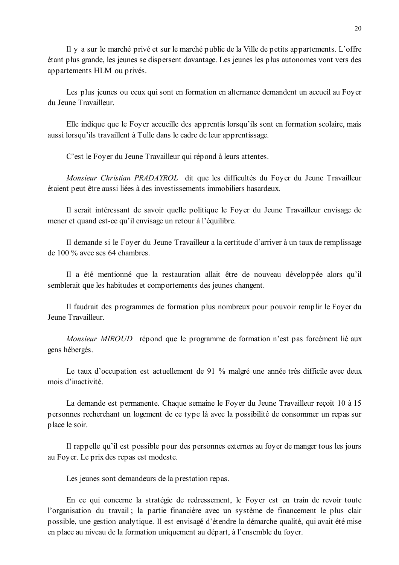Il y a sur le marché privé et sur le marché public de la Ville de petits appartements. L'offre étant plus grande, les jeunes se dispersent davantage. Les jeunes les plus autonomes vont vers des appartements HLM ou privés.

Les plus jeunes ou ceux qui sont en formation en alternance demandent un accueil au Fover du Jeune Travailleur

Elle indique que le Foyer accueille des apprentis lorsqu'ils sont en formation scolaire, mais aussi lorsqu'ils travaillent à Tulle dans le cadre de leur apprentissage.

C'est le Foyer du Jeune Travailleur qui répond à leurs attentes.

Monsieur Christian PRADAYROL dit que les difficultés du Foyer du Jeune Travailleur étaient peut être aussi liées à des investissements immobiliers hasardeux.

Il serait intéressant de savoir quelle politique le Foyer du Jeune Travailleur envisage de mener et quand est-ce qu'il envisage un retour à l'équilibre.

Il demande si le Foyer du Jeune Travailleur a la certitude d'arriver à un taux de remplissage de 100 % avec ses 64 chambres.

Il a été mentionné que la restauration allait être de nouveau développée alors qu'il semblerait que les habitudes et comportements des jeunes changent.

Il faudrait des programmes de formation plus nombreux pour pouvoir remplir le Foyer du Jeune Travailleur

Monsieur MIROUD répond que le programme de formation n'est pas forcément lié aux gens hébergés.

Le taux d'occupation est actuellement de 91 % malgré une année très difficile avec deux mois d'inactivité.

La demande est permanente. Chaque semaine le Foyer du Jeune Travailleur reçoit 10 à 15 personnes recherchant un logement de ce type là avec la possibilité de consommer un repas sur place le soir.

Il rappelle qu'il est possible pour des personnes externes au foyer de manger tous les jours au Foyer. Le prix des repas est modeste.

Les jeunes sont demandeurs de la prestation repas.

En ce qui concerne la stratégie de redressement, le Foyer est en train de revoir toute l'organisation du travail; la partie financière avec un système de financement le plus clair possible, une gestion analytique. Il est envisagé d'étendre la démarche qualité, qui avait été mise en place au niveau de la formation uniquement au départ, à l'ensemble du foyer.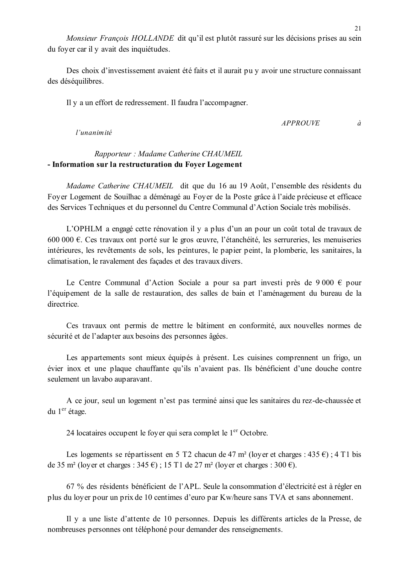Monsieur François HOLLANDE dit qu'il est plutôt rassuré sur les décisions prises au sein du foyer car il y avait des inquiétudes.

Des choix d'investissement avaient été faits et il aurait pu v avoir une structure connaissant des déséquilibres.

Il y a un effort de redressement. Il faudra l'accompagner.

 $APPROIIVE$  $\partial$ 

#### l'unanimité

# Rapporteur: Madame Catherine CHAUMEIL - Information sur la restructuration du Foyer Logement

Madame Catherine CHAUMEIL dit que du 16 au 19 Août, l'ensemble des résidents du Foyer Logement de Souilhac a déménagé au Foyer de la Poste grâce à l'aide précieuse et efficace des Services Techniques et du personnel du Centre Communal d'Action Sociale très mobilisés.

L'OPHLM a engagé cette rénovation il y a plus d'un an pour un coût total de travaux de 600 000 €. Ces travaux ont porté sur le gros œuvre, l'étanchéité, les serrureries, les menuiseries intérieures, les revêtements de sols, les peintures, le papier peint, la plomberie, les sanitaires, la climatisation, le ravalement des facades et des travaux divers.

Le Centre Communal d'Action Sociale a pour sa part investi près de 9 000  $\epsilon$  pour l'équipement de la salle de restauration, des salles de bain et l'aménagement du bureau de la directrice.

Ces travaux ont permis de mettre le bâtiment en conformité, aux nouvelles normes de sécurité et de l'adapter aux besoins des personnes âgées.

Les appartements sont mieux équipés à présent. Les cuisines comprennent un frigo, un évier inox et une plaque chauffante qu'ils n'avaient pas. Ils bénéficient d'une douche contre seulement un lavabo auparavant.

A ce jour, seul un logement n'est pas terminé ainsi que les sanitaires du rez-de-chaussée et du 1<sup>er</sup> étage.

24 locataires occupent le foyer qui sera complet le 1<sup>er</sup> Octobre.

Les logements se répartissent en 5 T2 chacun de 47 m<sup>2</sup> (loyer et charges : 435  $\epsilon$ ) ; 4 T1 bis de 35 m<sup>2</sup> (loyer et charges : 345  $\epsilon$ ); 15 T1 de 27 m<sup>2</sup> (loyer et charges : 300  $\epsilon$ ).

67 % des résidents bénéficient de l'APL. Seule la consommation d'électricité est à régler en plus du loyer pour un prix de 10 centimes d'euro par Kw/heure sans TVA et sans abonnement.

Il y a une liste d'attente de 10 personnes. Depuis les différents articles de la Presse, de nombreuses personnes ont téléphoné pour demander des renseignements.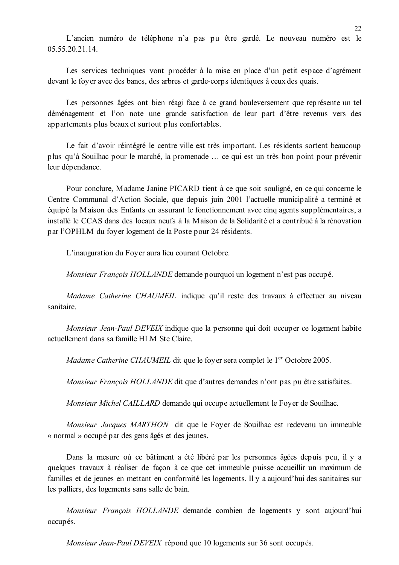L'ancien numéro de téléphone n'a pas pu être gardé. Le nouveau numéro est le 05 55 20 21 14

Les services techniques vont procéder à la mise en place d'un petit espace d'agrément devant le foyer avec des bancs, des arbres et garde-corps identiques à ceux des quais.

Les personnes âgées ont bien réagi face à ce grand bouleversement que représente un tel déménagement et l'on note une grande satisfaction de leur part d'être revenus vers des appartements plus beaux et surtout plus confortables.

Le fait d'avoir réintégré le centre ville est très important. Les résidents sortent beaucoup plus qu'à Souilhac pour le marché, la promenade ... ce qui est un très bon point pour prévenir leur dépendance.

Pour conclure, Madame Janine PICARD tient à ce que soit souligné, en ce qui concerne le Centre Communal d'Action Sociale, que depuis juin 2001 l'actuelle municipalité a terminé et équipé la Maison des Enfants en assurant le fonctionnement avec cinq agents supplémentaires, a installé le CCAS dans des locaux neufs à la Maison de la Solidarité et a contribué à la rénovation par l'OPHLM du fover logement de la Poste pour 24 résidents.

L'inauguration du Foyer aura lieu courant Octobre.

Monsieur François HOLLANDE demande pourquoi un logement n'est pas occupé.

Madame Catherine CHAUMEIL indique qu'il reste des travaux à effectuer au niveau sanitaire

Monsieur Jean-Paul DEVEIX indique que la personne qui doit occuper ce logement habite actuellement dans sa famille HLM Ste Claire.

Madame Catherine CHAUMEIL dit que le foyer sera complet le 1<sup>er</sup> Octobre 2005.

*Monsieur François HOLLANDE* dit que d'autres demandes n'ont pas pu être satisfaites.

Monsieur Michel CAILLARD demande qui occupe actuellement le Foyer de Souilhac.

Monsieur Jacques MARTHON dit que le Foyer de Souilhac est redevenu un immeuble « normal » occupé par des gens âgés et des jeunes.

Dans la mesure où ce bâtiment a été libéré par les personnes âgées depuis peu, il y a quelques travaux à réaliser de façon à ce que cet immeuble puisse accueillir un maximum de familles et de jeunes en mettant en conformité les logements. Il y a aujourd'hui des sanitaires sur les palliers, des logements sans salle de bain.

Monsieur Francois HOLLANDE demande combien de logements y sont aujourd'hui occupés.

Monsieur Jean-Paul DEVEIX répond que 10 logements sur 36 sont occupés.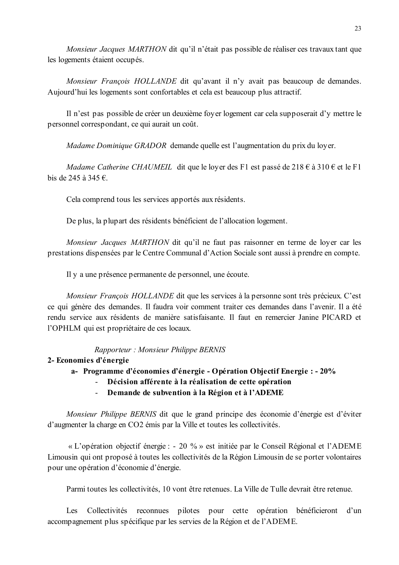Monsieur Jacques MARTHON dit qu'il n'était pas possible de réaliser ces travaux tant que les logements étaient occupés.

Monsieur François HOLLANDE dit qu'avant il n'y avait pas beaucoup de demandes. Aujourd'hui les logements sont confortables et cela est beaucoup plus attractif.

Il n'est pas possible de créer un deuxième foyer logement car cela supposerait d'y mettre le personnel correspondant, ce qui aurait un coût.

Madame Dominique GRADOR demande quelle est l'augmentation du prix du loyer.

Madame Catherine CHAUMEIL dit que le lover des F1 est passé de 218  $\epsilon$  à 310  $\epsilon$  et le F1 bis de 245 à 345  $\epsilon$ .

Cela comprend tous les services apportés aux résidents.

De plus, la plupart des résidents bénéficient de l'allocation logement.

*Monsieur Jacques MARTHON* dit qu'il ne faut pas raisonner en terme de loyer car les prestations dispensées par le Centre Communal d'Action Sociale sont aussi à prendre en compte.

Il y a une présence permanente de personnel, une écoute.

Monsieur François HOLLANDE dit que les services à la personne sont très précieux. C'est ce qui génère des demandes. Il faudra voir comment traiter ces demandes dans l'avenir. Il a été rendu service aux résidents de manière satisfaisante. Il faut en remercier Janine PICARD et l'OPHLM qui est propriétaire de ces locaux.

Rapporteur: Monsieur Philippe BERNIS

### 2- Economies d'énergie

- a- Programme d'économies d'énergie Opération Objectif Energie : 20%
	- Décision afférente à la réalisation de cette opération
	- Demande de subvention à la Région et à l'ADEME  $\omega_{\rm{eff}}$

Monsieur Philippe BERNIS dit que le grand principe des économie d'énergie est d'éviter d'augmenter la charge en CO2 émis par la Ville et toutes les collectivités.

« L'opération objectif énergie : - 20 % » est initiée par le Conseil Régional et l'ADEME Limousin qui ont proposé à toutes les collectivités de la Région Limousin de se porter volontaires pour une opération d'économie d'énergie.

Parmi toutes les collectivités, 10 vont être retenues. La Ville de Tulle devrait être retenue.

Les Collectivités reconnues pilotes pour cette opération bénéficieront d'un accompagnement plus spécifique par les servies de la Région et de l'ADEME.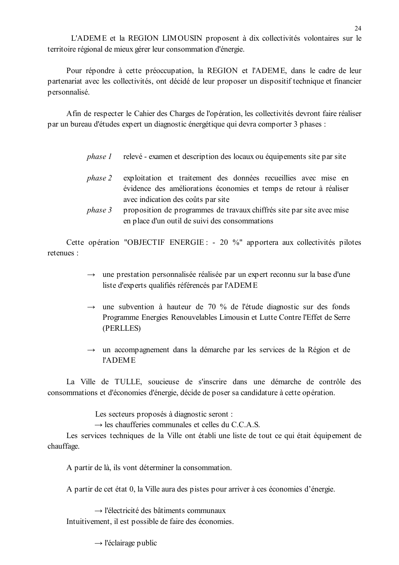L'ADEME et la REGION LIMOUSIN proposent à dix collectivités volontaires sur le territoire régional de mieux gérer leur consommation d'énergie.

Pour répondre à cette préoccupation, la REGION et l'ADEME, dans le cadre de leur partenariat avec les collectivités, ont décidé de leur proposer un dispositif technique et financier personnalisé.

Afin de respecter le Cahier des Charges de l'opération, les collectivités devront faire réaliser par un bureau d'études expert un diagnostic énergétique qui devra comporter 3 phases :

- phase 1 relevé - examen et description des locaux ou équipements site par site
- phase 2 exploitation et traitement des données recueillies avec mise en évidence des améliorations économies et temps de retour à réaliser avec indication des coûts par site
- phase 3 proposition de programmes de travaux chiffrés site par site avec mise en place d'un outil de suivi des consommations

Cette opération "OBJECTIF ENERGIE : - 20 %" apportera aux collectivités pilotes refenues ·

- $\rightarrow$  une prestation personnalisée réalisée par un expert reconnu sur la base d'une liste d'experts qualifiés référencés par l'ADEME
- $\rightarrow$  une subvention à hauteur de 70 % de l'étude diagnostic sur des fonds Programme Energies Renouvelables Limousin et Lutte Contre l'Effet de Serre (PERLLES)
- $\rightarrow$  un accompagnement dans la démarche par les services de la Région et de **l'ADEME**

La Ville de TULLE, soucieuse de s'inscrire dans une démarche de contrôle des consommations et d'économies d'énergie, décide de poser sa candidature à cette opération.

Les secteurs proposés à diagnostic seront :

 $\rightarrow$  les chaufferies communales et celles du C.C.A.S.

Les services techniques de la Ville ont établi une liste de tout ce qui était équipement de chauffage.

A partir de là, ils vont déterminer la consommation.

A partir de cet état 0, la Ville aura des pistes pour arriver à ces économies d'énergie.

 $\rightarrow$  l'électricité des bâtiments communaux Intuitivement, il est possible de faire des économies.

 $\rightarrow$  l'éclairage public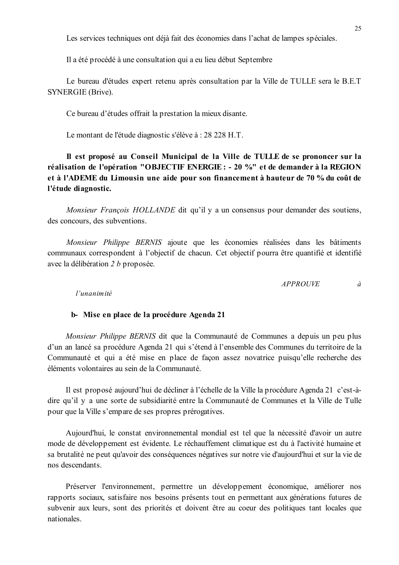Les services techniques ont déjà fait des économies dans l'achat de lampes spéciales.

Il a été procédé à une consultation qui a eu lieu début Septembre

Le bureau d'études expert retenu après consultation par la Ville de TULLE sera le B.E.T SYNERGIE (Brive).

Ce bureau d'études offrait la prestation la mieux disante.

Le montant de l'étude diagnostic s'élève à : 28 228 H.T.

Il est proposé au Conseil Municipal de la Ville de TULLE de se prononcer sur la réalisation de l'opération "OBJECTIF ENERGIE : - 20 %" et de demander à la REGION et à l'ADEME du Limousin une aide pour son financement à hauteur de 70 % du coût de l'étude diagnostic.

Monsieur François HOLLANDE dit qu'il y a un consensus pour demander des soutiens. des concours, des subventions.

Monsieur Philippe BERNIS ajoute que les économies réalisées dans les bâtiments communaux correspondent à l'objectif de chacun. Cet objectif pourra être quantifié et identifié avec la délibération 2 b proposée.

> **APPROUVE**  $\hat{a}$

l'unanimité

#### b-Mise en place de la procédure Agenda 21

*Monsieur Philippe BERNIS* dit que la Communauté de Communes a depuis un peu plus d'un an lancé sa procédure Agenda 21 qui s'étend à l'ensemble des Communes du territoire de la Communauté et qui a été mise en place de façon assez novatrice puisqu'elle recherche des éléments volontaires au sein de la Communauté.

Il est proposé aujourd'hui de décliner à l'échelle de la Ville la procédure Agenda 21 c'est-àdire qu'il y a une sorte de subsidiarité entre la Communauté de Communes et la Ville de Tulle pour que la Ville s'empare de ses propres prérogatives.

Aujourd'hui, le constat environnemental mondial est tel que la nécessité d'avoir un autre mode de développement est évidente. Le réchauffement climatique est du à l'activité humaine et sa brutalité ne peut qu'avoir des conséquences négatives sur notre vie d'aujourd'hui et sur la vie de nos descendants

Préserver l'environnement, permettre un développement économique, améliorer nos rapports sociaux, satisfaire nos besoins présents tout en permettant aux générations futures de subvenir aux leurs, sont des priorités et doivent être au coeur des politiques tant locales que nationales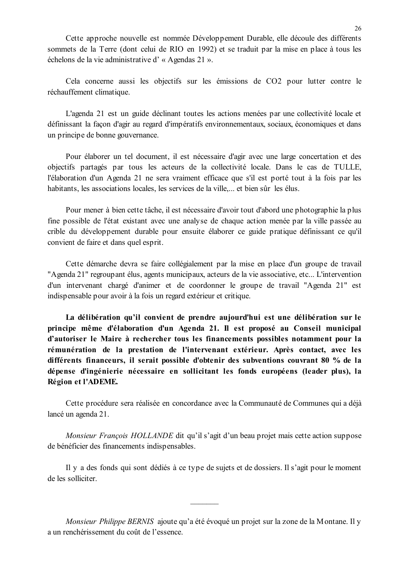Cette approche nouvelle est nommée Développement Durable, elle découle des différents sommets de la Terre (dont celui de RIO en 1992) et se traduit par la mise en place à tous les échelons de la vie administrative d'« Agendas 21 ».

Cela concerne aussi les objectifs sur les émissions de CO2 pour lutter contre le réchauffement climatique.

L'agenda 21 est un guide déclinant toutes les actions menées par une collectivité locale et définissant la facon d'agir au regard d'impératifs environnementaux, sociaux, économiques et dans un principe de bonne gouvernance.

Pour élaborer un tel document, il est nécessaire d'agir avec une large concertation et des objectifs partagés par tous les acteurs de la collectivité locale. Dans le cas de TULLE. l'élaboration d'un Agenda 21 ne sera vraiment efficace que s'il est porté tout à la fois par les habitants, les associations locales, les services de la ville,... et bien sûr les élus.

Pour mener à bien cette tâche, il est nécessaire d'avoir tout d'abord une photographie la plus fine possible de l'état existant avec une analyse de chaque action menée par la ville passée au crible du développement durable pour ensuite élaborer ce guide pratique définissant ce qu'il convient de faire et dans quel esprit.

Cette démarche devra se faire collégialement par la mise en place d'un groupe de travail "Agenda 21" regroupant élus, agents municipaux, acteurs de la vie associative, etc... L'intervention d'un intervenant chargé d'animer et de coordonner le groupe de travail "Agenda 21" est indispensable pour avoir à la fois un regard extérieur et critique.

La délibération qu'il convient de prendre aujourd'hui est une délibération sur le principe même d'élaboration d'un Agenda 21. Il est proposé au Conseil municipal d'autoriser le Maire à rechercher tous les financements possibles notamment pour la rémunération de la prestation de l'intervenant extérieur. Après contact, avec les différents financeurs, il serait possible d'obtenir des subventions couvrant 80 % de la dépense d'ingénierie nécessaire en sollicitant les fonds européens (leader plus), la Région et l'ADEME.

Cette procédure sera réalisée en concordance avec la Communauté de Communes qui a déjà lancé un agenda 21.

Monsieur François HOLLANDE dit qu'il s'agit d'un beau projet mais cette action suppose de bénéficier des financements indispensables.

Il y a des fonds qui sont dédiés à ce type de sujets et de dossiers. Il s'agit pour le moment de les solliciter

Monsieur Philippe BERNIS ajoute qu'a été évoqué un projet sur la zone de la Montane. Il y a un renchérissement du coût de l'essence.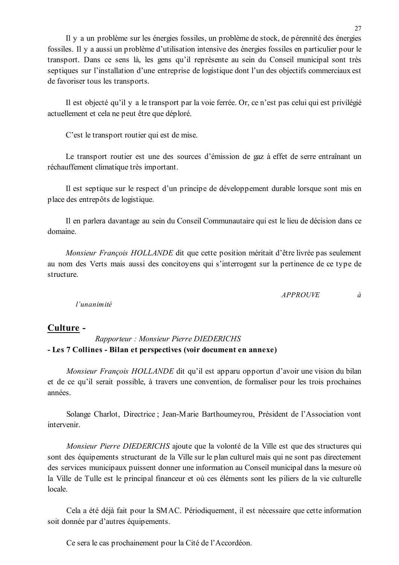Il y a un problème sur les énergies fossiles, un problème de stock, de pérennité des énergies fossiles. Il y a aussi un problème d'utilisation intensive des énergies fossiles en particulier pour le transport. Dans ce sens là, les gens qu'il représente au sein du Conseil municipal sont très septiques sur l'installation d'une entreprise de logistique dont l'un des objectifs commerciaux est de favoriser tous les transports.

Il est objecté qu'il y a le transport par la voie ferrée. Or, ce n'est pas celui qui est privilégié actuellement et cela ne peut être que déploré.

C'est le transport routier qui est de mise.

Le transport routier est une des sources d'émission de gaz à effet de serre entraînant un réchauffement climatique très important.

Il est septique sur le respect d'un principe de développement durable lorsque sont mis en place des entrepôts de logistique.

Il en parlera davantage au sein du Conseil Communautaire qui est le lieu de décision dans ce domaine.

Monsieur François HOLLANDE dit que cette position méritait d'être livrée pas seulement au nom des Verts mais aussi des concitoyens qui s'interrogent sur la pertinence de ce type de structure.

> *APPROUVE*  $\dot{a}$

l'unanimité

# Culture -

# Rapporteur: Monsieur Pierre DIEDERICHS - Les 7 Collines - Bilan et perspectives (voir document en annexe)

*Monsieur Francois HOLLANDE* dit qu'il est apparu opportun d'avoir une vision du bilan et de ce qu'il serait possible, à travers une convention, de formaliser pour les trois prochaines années.

Solange Charlot, Directrice ; Jean-Marie Barthoumeyrou, Président de l'Association vont intervenir.

Monsieur Pierre DIEDERICHS ajoute que la volonté de la Ville est que des structures qui sont des équipements structurant de la Ville sur le plan culturel mais qui ne sont pas directement des services municipaux puissent donner une information au Conseil municipal dans la mesure où la Ville de Tulle est le principal financeur et où ces éléments sont les piliers de la vie culturelle locale

Cela a été déjà fait pour la SMAC. Périodiquement, il est nécessaire que cette information soit donnée par d'autres équipements.

Ce sera le cas prochainement pour la Cité de l'Accordéon.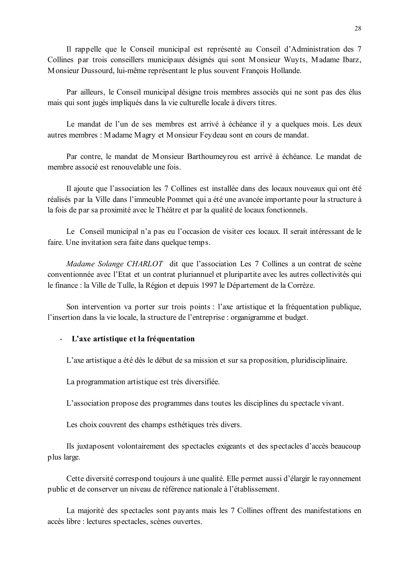Il rappelle que le Conseil municipal est représenté au Conseil d'Administration des 7 Collines par trois conseillers municipaux désignés qui sont Monsieur Wuyts, Madame Ibarz, Monsieur Dussourd, lui-même représentant le plus souvent Francois Hollande.

Par ailleurs, le Conseil municipal désigne trois membres associés qui ne sont pas des élus mais qui sont jugés impliqués dans la vie culturelle locale à divers titres.

Le mandat de l'un de ses membres est arrivé à échéance il y a quelques mois. Les deux autres membres : Madame Magry et Monsieur Feydeau sont en cours de mandat.

Par contre, le mandat de Monsieur Barthoumeyrou est arrivé à échéance. Le mandat de membre associé est renouvelable une fois

Il ajoute que l'association les 7 Collines est installée dans des locaux nouveaux qui ont été réalisés par la Ville dans l'immeuble Pommet qui a été une avancée importante pour la structure à la fois de par sa proximité avec le Théâtre et par la qualité de locaux fonctionnels.

Le Conseil municipal n'a pas eu l'occasion de visiter ces locaux. Il serait intéressant de le faire. Une invitation sera faite dans quelque temps.

Madame Solange CHARLOT dit que l'association Les 7 Collines a un contrat de scène conventionnée avec l'Etat et un contrat pluriannuel et pluripartite avec les autres collectivités qui le finance : la Ville de Tulle, la Région et depuis 1997 le Département de la Corrèze.

Son intervention va porter sur trois points : l'axe artistique et la fréquentation publique. l'insertion dans la vie locale, la structure de l'entreprise : organigramme et budget.

### - L'axe artistique et la fréquentation

L'axe artistique a été dès le début de sa mission et sur sa proposition, pluridisciplinaire.

La programmation artistique est très diversifiée.

L'association propose des programmes dans toutes les disciplines du spectacle vivant.

Les choix couvrent des champs esthétiques très divers.

Ils juxtaposent volontairement des spectacles exigeants et des spectacles d'accès beaucoup plus large.

Cette diversité correspond toujours à une qualité. Elle permet aussi d'élargir le rayonnement public et de conserver un niveau de référence nationale à l'établissement.

La majorité des spectacles sont payants mais les 7 Collines offrent des manifestations en accès libre : lectures spectacles, scènes ouvertes.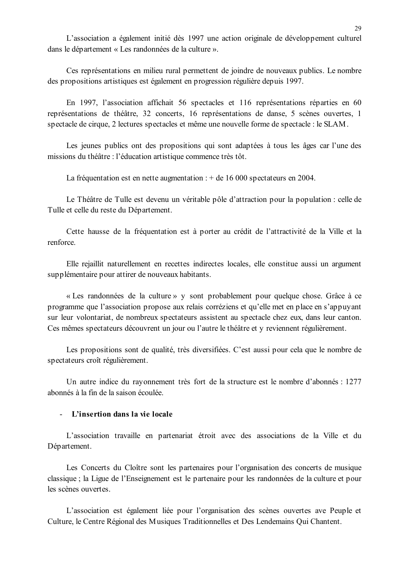L'association a également initié dès 1997 une action originale de développement culturel dans le département « Les randonnées de la culture ».

Ces représentations en milieu rural permettent de joindre de nouveaux publics. Le nombre des propositions artistiques est également en progression régulière depuis 1997.

En 1997, l'association affichait 56 spectacles et 116 représentations réparties en 60 représentations de théâtre, 32 concerts, 16 représentations de danse, 5 scènes ouvertes, 1 spectacle de cirque, 2 lectures spectacles et même une nouvelle forme de spectacle : le SLAM.

Les jeunes publics ont des propositions qui sont adaptées à tous les âges car l'une des missions du théâtre : l'éducation artistique commence très tôt.

La fréquentation est en nette augmentation :  $+$  de 16 000 spectateurs en 2004.

Le Théâtre de Tulle est devenu un véritable pôle d'attraction pour la population : celle de Tulle et celle du reste du Département.

Cette hausse de la fréquentation est à porter au crédit de l'attractivité de la Ville et la renforce.

Elle rejaillit naturellement en recettes indirectes locales, elle constitue aussi un argument supplémentaire pour attirer de nouveaux habitants.

« Les randonnées de la culture » y sont probablement pour quelque chose. Grâce à ce programme que l'association propose aux relais corréziens et qu'elle met en place en s'appuyant sur leur volontariat, de nombreux spectateurs assistent au spectacle chez eux, dans leur canton. Ces mêmes spectateurs découvrent un jour ou l'autre le théâtre et y reviennent régulièrement.

Les propositions sont de qualité, très diversifiées. C'est aussi pour cela que le nombre de spectateurs croît régulièrement.

Un autre indice du rayonnement très fort de la structure est le nombre d'abonnés : 1277 abonnés à la fin de la saison écoulée.

#### - L'insertion dans la vie locale

L'association travaille en partenariat étroit avec des associations de la Ville et du Département.

Les Concerts du Cloître sont les partenaires pour l'organisation des concerts de musique classique ; la Ligue de l'Enseignement est le partenaire pour les randonnées de la culture et pour les scènes ouvertes

L'association est également liée pour l'organisation des scènes ouvertes ave Peuple et Culture, le Centre Régional des Musiques Traditionnelles et Des Lendemains Qui Chantent.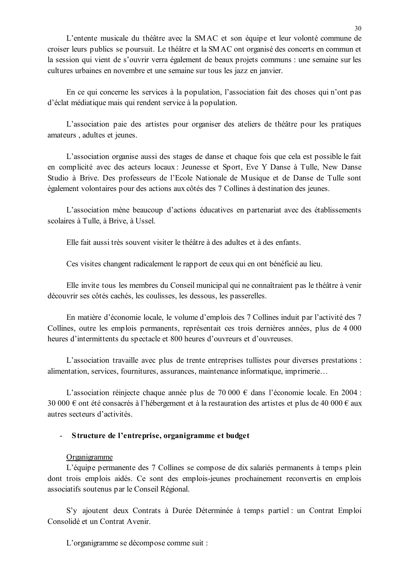L'entente musicale du théâtre avec la SMAC et son équipe et leur volonté commune de croiser leurs publics se poursuit. Le théâtre et la SMAC ont organisé des concerts en commun et la session qui vient de s'ouvrir verra également de beaux projets communs : une semaine sur les cultures urbaines en novembre et une semaine sur tous les jazz en janvier.

En ce qui concerne les services à la population, l'association fait des choses qui n'ont pas d'éclat médiatique mais qui rendent service à la population.

L'association paie des artistes pour organiser des ateliers de théâtre pour les pratiques amateurs, adultes et jeunes.

L'association organise aussi des stages de danse et chaque fois que cela est possible le fait en complicité avec des acteurs locaux : Jeunesse et Sport, Eve Y Danse à Tulle, New Danse Studio à Brive. Des professeurs de l'Ecole Nationale de Musique et de Danse de Tulle sont également volontaires pour des actions aux côtés des 7 Collines à destination des jeunes.

L'association mène beaucoup d'actions éducatives en partenariat avec des établissements scolaires à Tulle, à Brive, à Ussel.

Elle fait aussi très souvent visiter le théâtre à des adultes et à des enfants.

Ces visites changent radicalement le rapport de ceux qui en ont bénéficié au lieu.

Elle invite tous les membres du Conseil municipal qui ne connaîtraient pas le théâtre à venir découvrir ses côtés cachés, les coulisses, les dessous, les passerelles.

En matière d'économie locale, le volume d'emplois des 7 Collines induit par l'activité des 7 Collines, outre les emplois permanents, représentait ces trois dernières années, plus de 4 000 heures d'intermittents du spectacle et 800 heures d'ouvreurs et d'ouvreuses.

L'association travaille avec plus de trente entreprises tullistes pour diverses prestations : alimentation, services, fournitures, assurances, maintenance informatique, imprimerie...

L'association réiniecte chaque année plus de 70 000  $\epsilon$  dans l'économie locale. En 2004 : 30 000 € ont été consacrés à l'hébergement et à la restauration des artistes et plus de 40 000 € aux autres secteurs d'activités.

### Structure de l'entreprise, organigramme et budget

### Organigramme

L'équipe permanente des 7 Collines se compose de dix salariés permanents à temps plein dont trois emplois aidés. Ce sont des emplois-jeunes prochainement reconvertis en emplois associatifs soutenus par le Conseil Régional.

S'v aioutent deux Contrats à Durée Déterminée à temps partiel : un Contrat Emploi Consolidé et un Contrat Avenir.

L'organigramme se décompose comme suit :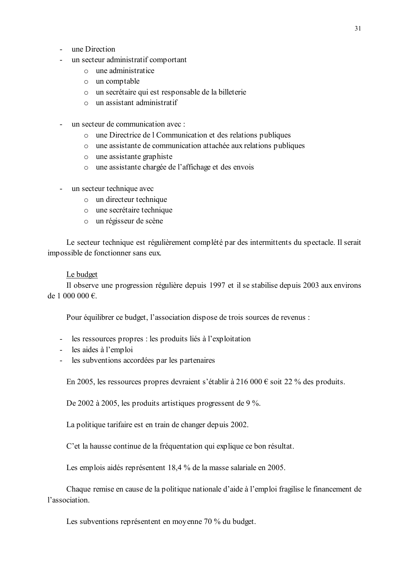- une Direction
- un secteur administratif comportant
	- $\circ$  une administratice
	- o un comptable
	- o un secrétaire qui est responsable de la billeterie
	- $\circ$  un assistant administratif
- un secteur de communication avec :
	- o une Directrice de l Communication et des relations publiques
	- o une assistante de communication attachée aux relations publiques
	- $\circ$  une assistante graphiste
	- o une assistante chargée de l'affichage et des envois
- un secteur technique avec
	- o un directeur technique
	- o une secrétaire technique
	- o un régisseur de scène

Le secteur technique est régulièrement complété par des intermittents du spectacle. Il serait impossible de fonctionner sans eux.

#### Le budget

Il observe une progression régulière depuis 1997 et il se stabilise depuis 2003 aux environs de 1 000 000  $\epsilon$ .

Pour équilibrer ce budget, l'association dispose de trois sources de revenus :

- les ressources propres : les produits liés à l'exploitation
- les aides à l'emploi
- les subventions accordées par les partenaires

En 2005, les ressources propres devraient s'établir à 216 000 € soit 22 % des produits.

De 2002 à 2005, les produits artistiques progressent de 9 %.

La politique tarifaire est en train de changer depuis 2002.

C'et la hausse continue de la fréquentation qui explique ce bon résultat.

Les emplois aidés représentent 18,4 % de la masse salariale en 2005.

Chaque remise en cause de la politique nationale d'aide à l'emploi fragilise le financement de l'association.

Les subventions représentent en moyenne 70 % du budget.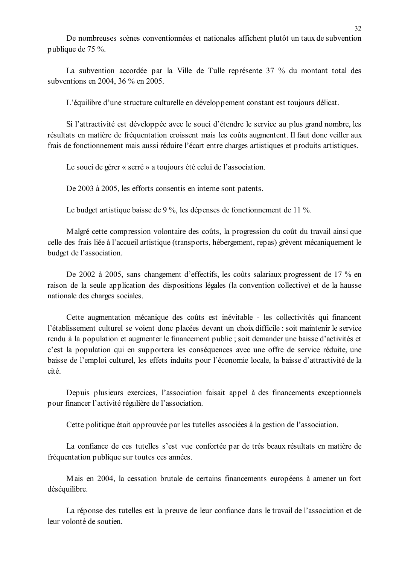De nombreuses scènes conventionnées et nationales affichent plutôt un taux de subvention publique de 75 %.

La subvention accordée par la Ville de Tulle représente 37 % du montant total des subventions en 2004, 36 % en 2005.

L'équilibre d'une structure culturelle en développement constant est toujours délicat.

Si l'attractivité est développée avec le souci d'étendre le service au plus grand nombre, les résultats en matière de fréquentation croissent mais les coûts augmentent. Il faut donc veiller aux frais de fonctionnement mais aussi réduire l'écart entre charges artistiques et produits artistiques.

Le souci de gérer « serré » a toujours été celui de l'association.

De 2003 à 2005, les efforts consentis en interne sont patents.

Le budget artistique baisse de 9 %, les dépenses de fonctionnement de 11 %.

Malgré cette compression volontaire des coûts, la progression du coût du travail ainsi que celle des frais liée à l'accueil artistique (transports, hébergement, repas) grèvent mécaniquement le budget de l'association.

De 2002 à 2005, sans changement d'effectifs, les coûts salariaux progressent de 17 % en raison de la seule application des dispositions légales (la convention collective) et de la hausse nationale des charges sociales.

Cette augmentation mécanique des coûts est inévitable - les collectivités qui financent l'établissement culturel se voient donc placées devant un choix difficile : soit maintenir le service rendu à la population et augmenter le financement public; soit demander une baisse d'activités et c'est la population qui en supportera les conséquences avec une offre de service réduite, une baisse de l'emploi culturel, les effets induits pour l'économie locale, la baisse d'attractivité de la cité.

Depuis plusieurs exercices, l'association faisait appel à des financements exceptionnels pour financer l'activité régulière de l'association.

Cette politique était approuvée par les tutelles associées à la gestion de l'association.

La confiance de ces tutelles s'est vue confortée par de très beaux résultats en matière de fréquentation publique sur toutes ces années.

Mais en 2004, la cessation brutale de certains financements européens à amener un fort déséquilibre.

La réponse des tutelles est la preuve de leur confiance dans le travail de l'association et de leur volonté de soutien.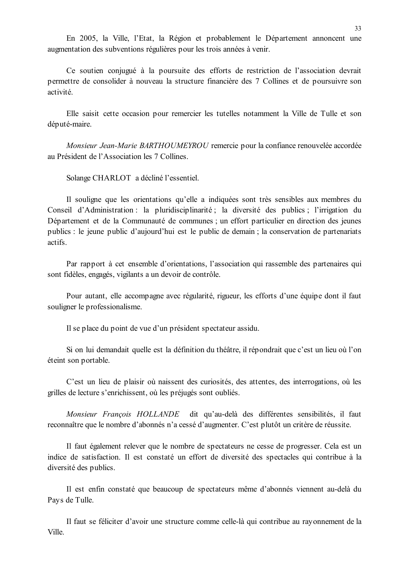En 2005, la Ville, l'Etat, la Région et probablement le Département annoncent une augmentation des subventions régulières pour les trois années à venir.

Ce soutien conjugué à la poursuite des efforts de restriction de l'association devrait permettre de consolider à nouveau la structure financière des 7 Collines et de poursuivre son activité.

Elle saisit cette occasion pour remercier les tutelles notamment la Ville de Tulle et son député-maire.

Monsieur Jean-Marie BARTHOUMEYROU remercie pour la confiance renouvelée accordée au Président de l'Association les 7 Collines.

Solange CHARLOT a décliné l'essentiel.

Il souligne que les orientations qu'elle a indiquées sont très sensibles aux membres du Conseil d'Administration : la pluridisciplinarité : la diversité des publics : l'irrigation du Département et de la Communauté de communes ; un effort particulier en direction des jeunes publics : le jeune public d'aujourd'hui est le public de demain : la conservation de partenariats actifs.

Par rapport à cet ensemble d'orientations, l'association qui rassemble des partenaires qui sont fidèles, engagés, vigilants a un devoir de contrôle.

Pour autant, elle accompagne avec régularité, rigueur, les efforts d'une équipe dont il faut souligner le professionalisme.

Il se place du point de vue d'un président spectateur assidu.

Si on lui demandait quelle est la définition du théâtre, il répondrait que c'est un lieu où l'on éteint son portable.

C'est un lieu de plaisir où naissent des curiosités, des attentes, des interrogations, où les grilles de lecture s'enrichissent, où les préjugés sont oubliés.

Monsieur François HOLLANDE dit qu'au-delà des différentes sensibilités, il faut reconnaître que le nombre d'abonnés n'a cessé d'augmenter. C'est plutôt un critère de réussite.

Il faut également relever que le nombre de spectateurs ne cesse de progresser. Cela est un indice de satisfaction. Il est constaté un effort de diversité des spectacles qui contribue à la diversité des publics.

Il est enfin constaté que beaucoup de spectateurs même d'abonnés viennent au-delà du Pays de Tulle.

Il faut se féliciter d'avoir une structure comme celle-là qui contribue au rayonnement de la Ville.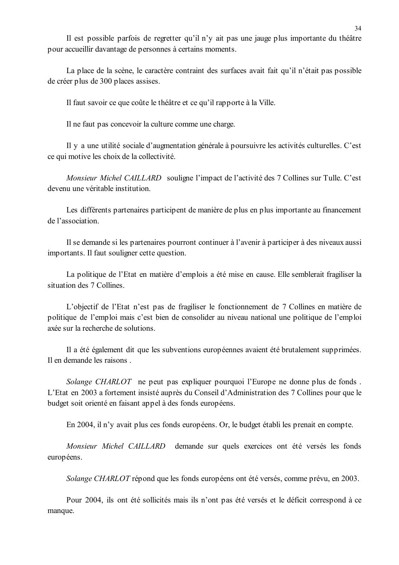Il est possible parfois de regretter qu'il n'y ait pas une jauge plus importante du théâtre pour accueillir davantage de personnes à certains moments.

La place de la scène, le caractère contraint des surfaces avait fait qu'il n'était pas possible de créer plus de 300 places assises.

Il faut savoir ce que coûte le théâtre et ce qu'il rapporte à la Ville.

Il ne faut pas concevoir la culture comme une charge.

Il y a une utilité sociale d'augmentation générale à poursuivre les activités culturelles. C'est ce qui motive les choix de la collectivité.

Monsieur Michel CAILLARD souligne l'impact de l'activité des 7 Collines sur Tulle. C'est devenu une véritable institution

Les différents partenaires participent de manière de plus en plus importante au financement de l'association.

Il se demande si les partenaires pourront continuer à l'avenir à participer à des niveaux aussi importants. Il faut souligner cette question.

La politique de l'Etat en matière d'emplois a été mise en cause. Elle semblerait fragiliser la situation des 7 Collines

L'objectif de l'Etat n'est pas de fragiliser le fonctionnement de 7 Collines en matière de politique de l'emploi mais c'est bien de consolider au niveau national une politique de l'emploi axée sur la recherche de solutions

Il a été également dit que les subventions européennes avaient été brutalement supprimées. Il en demande les raisons.

Solange CHARLOT ne peut pas expliquer pourquoi l'Europe ne donne plus de fonds. L'Etat en 2003 a fortement insisté auprès du Conseil d'Administration des 7 Collines pour que le budget soit orienté en faisant appel à des fonds européens.

En 2004, il n'y avait plus ces fonds européens. Or, le budget établi les prenait en compte.

Monsieur Michel CAILLARD demande sur quels exercices ont été versés les fonds européens.

Solange CHARLOT répond que les fonds européens ont été versés, comme prévu, en 2003.

Pour 2004, ils ont été sollicités mais ils n'ont pas été versés et le déficit correspond à ce manque.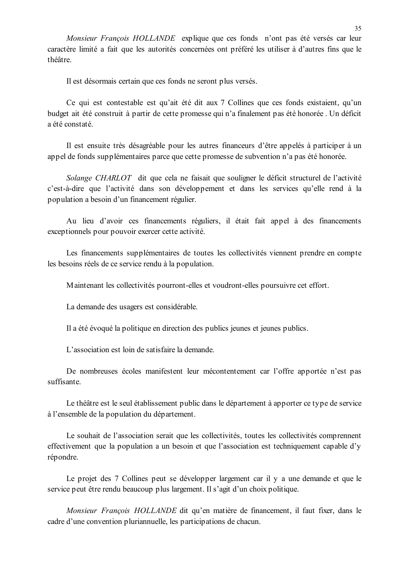Monsieur François HOLLANDE explique que ces fonds n'ont pas été versés car leur caractère limité a fait que les autorités concernées ont préféré les utiliser à d'autres fins que le théâtre.

Il est désormais certain que ces fonds ne seront plus versés.

Ce qui est contestable est qu'ait été dit aux 7 Collines que ces fonds existaient, qu'un budget ait été construit à partir de cette promesse qui n'a finalement pas été honorée. Un déficit a été constaté.

Il est ensuite très désagréable pour les autres financeurs d'être appelés à participer à un appel de fonds supplémentaires parce que cette promesse de subvention n'a pas été honorée.

Solange CHARLOT dit que cela ne faisait que souligner le déficit structurel de l'activité c'est-à-dire que l'activité dans son développement et dans les services qu'elle rend à la population a besoin d'un financement régulier.

Au lieu d'avoir ces financements réguliers, il était fait appel à des financements exceptionnels pour pouvoir exercer cette activité.

Les financements supplémentaires de toutes les collectivités viennent prendre en compte les besoins réels de ce service rendu à la population.

Maintenant les collectivités pourront-elles et voudront-elles poursuivre cet effort.

La demande des usagers est considérable.

Il a été évoqué la politique en direction des publics jeunes et jeunes publics.

L'association est loin de satisfaire la demande.

De nombreuses écoles manifestent leur mécontentement car l'offre apportée n'est pas suffisante

Le théâtre est le seul établissement public dans le département à apporter ce type de service à l'ensemble de la population du département.

Le souhait de l'association serait que les collectivités, toutes les collectivités comprennent effectivement que la population a un besoin et que l'association est techniquement capable d'y répondre.

Le projet des 7 Collines peut se développer largement car il y a une demande et que le service peut être rendu beaucoup plus largement. Il s'agit d'un choix politique.

Monsieur François HOLLANDE dit qu'en matière de financement, il faut fixer, dans le cadre d'une convention pluriannuelle, les participations de chacun.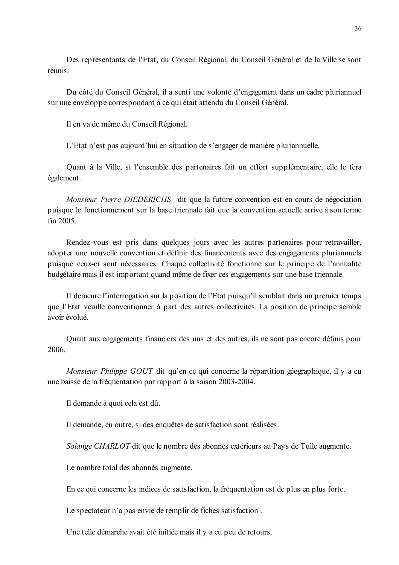Des représentants de l'Etat, du Conseil Régional, du Conseil Général et de la Ville se sont réunis.

Du côté du Conseil Général, il a senti une volonté d'engagement dans un cadre pluriannuel sur une enveloppe correspondant à ce qui était attendu du Conseil Général.

Il en va de même du Conseil Régional.

L'Etat n'est pas aujourd'hui en situation de s'engager de manière pluriannuelle.

Quant à la Ville, si l'ensemble des partenaires fait un effort supplémentaire, elle le fera également.

Monsieur Pierre DIEDERICHS dit que la future convention est en cours de négociation puisque le fonctionnement sur la base triennale fait que la convention actuelle arrive à son terme  $fin$  2005

Rendez-vous est pris dans quelques jours avec les autres partenaires pour retravailler, adopter une nouvelle convention et définir des financements avec des engagements pluriannuels puisque ceux-ci sont nécessaires. Chaque collectivité fonctionne sur le principe de l'annualité budgétaire mais il est important quand même de fixer ces engagements sur une base triennale.

Il demeure l'interrogation sur la position de l'Etat puisqu'il semblait dans un premier temps que l'Etat veuille conventionner à part des autres collectivités. La position de principe semble avoir évolué

Quant aux engagements financiers des uns et des autres, ils ne sont pas encore définis pour 2006.

Monsieur Philippe GOUT dit qu'en ce qui concerne la répartition géographique, il y a eu une baisse de la fréquentation par rapport à la saison 2003-2004.

Il demande à quoi cela est dû.

Il demande, en outre, si des enquêtes de satisfaction sont réalisées.

Solange CHARLOT dit que le nombre des abonnés extérieurs au Pays de Tulle augmente.

Le nombre total des abonnés augmente.

En ce qui concerne les indices de satisfaction, la fréquentation est de plus en plus forte.

Le spectateur n'a pas envie de remplir de fiches satisfaction.

Une telle démarche avait été initiée mais il y a eu peu de retours.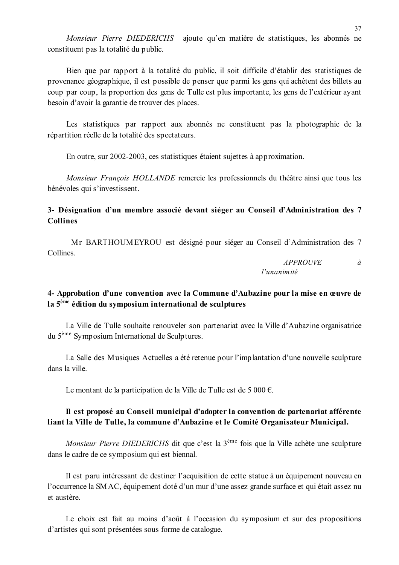Monsieur Pierre DIEDERICHS ajoute qu'en matière de statistiques, les abonnés ne constituent pas la totalité du public.

Bien que par rapport à la totalité du public, il soit difficile d'établir des statistiques de provenance géographique, il est possible de penser que parmi les gens qui achètent des billets au coup par coup, la proportion des gens de Tulle est plus importante, les gens de l'extérieur avant besoin d'avoir la garantie de trouver des places.

Les statistiques par rapport aux abonnés ne constituent pas la photographie de la répartition réelle de la totalité des spectateurs.

En outre, sur 2002-2003, ces statistiques étaient sujettes à approximation.

Monsieur François HOLLANDE remercie les professionnels du théâtre ainsi que tous les bénévoles qui s'investissent.

## 3- Désignation d'un membre associé devant siéger au Conseil d'Administration des 7 **Collines**

Mr BARTHOUMEYROU est désigné pour siéger au Conseil d'Administration des 7 Collines.

> **APPROUVE**  $\hat{a}$  $l'$ unanimité

## 4- Approbation d'une convention avec la Commune d'Aubazine pour la mise en œuvre de la  $5<sup>eme</sup>$  édition du symposium international de sculptures

La Ville de Tulle souhaite renouveler son partenariat avec la Ville d'Aubazine organisatrice du 5<sup>ème</sup> Symposium International de Sculptures.

La Salle des Musiques Actuelles a été retenue pour l'implantation d'une nouvelle sculpture dans la ville.

Le montant de la participation de la Ville de Tulle est de 5 000  $\epsilon$ .

## Il est proposé au Conseil municipal d'adopter la convention de partenariat afférente liant la Ville de Tulle, la commune d'Aubazine et le Comité Organisateur Municipal.

Monsieur Pierre DIEDERICHS dit que c'est la 3<sup>ème</sup> fois que la Ville achète une sculpture dans le cadre de ce symposium qui est biennal.

Il est paru intéressant de destiner l'acquisition de cette statue à un équipement nouveau en l'occurrence la SMAC, équipement doté d'un mur d'une assez grande surface et qui était assez nu et austère

Le choix est fait au moins d'août à l'occasion du symposium et sur des propositions d'artistes qui sont présentées sous forme de catalogue.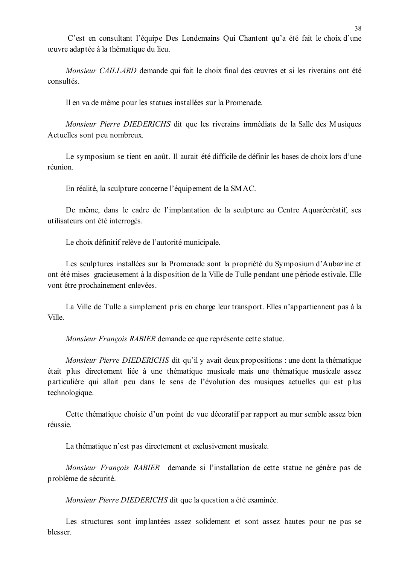C'est en consultant l'équipe Des Lendemains Qui Chantent qu'a été fait le choix d'une œuvre adaptée à la thématique du lieu.

Monsieur CAILLARD demande qui fait le choix final des œuvres et si les riverains ont été consultés

Il en va de même pour les statues installées sur la Promenade.

Monsieur Pierre DIEDERICHS dit que les riverains immédiats de la Salle des Musiques Actuelles sont peu nombreux.

Le symposium se tient en août. Il aurait été difficile de définir les bases de choix lors d'une réunion

En réalité, la sculpture concerne l'équipement de la SMAC.

De même, dans le cadre de l'implantation de la sculpture au Centre Aquarécréatif, ses utilisateurs ont été interrogés.

Le choix définitif relève de l'autorité municipale.

Les sculptures installées sur la Promenade sont la propriété du Symposium d'Aubazine et ont été mises gracieusement à la disposition de la Ville de Tulle pendant une période estivale. Elle vont être prochainement enlevées.

La Ville de Tulle a simplement pris en charge leur transport. Elles n'appartiennent pas à la Ville.

Monsieur François RABIER demande ce que représente cette statue.

*Monsieur Pierre DIEDERICHS* dit qu'il y avait deux propositions : une dont la thématique était plus directement liée à une thématique musicale mais une thématique musicale assez particulière qui allait peu dans le sens de l'évolution des musiques actuelles qui est plus technologique.

Cette thématique choisie d'un point de vue décoratif par rapport au mur semble assez bien réussie.

La thématique n'est pas directement et exclusivement musicale.

Monsieur François RABIER demande si l'installation de cette statue ne génère pas de problème de sécurité.

Monsieur Pierre DIEDERICHS dit que la question a été examinée.

Les structures sont implantées assez solidement et sont assez hautes pour ne pas se blesser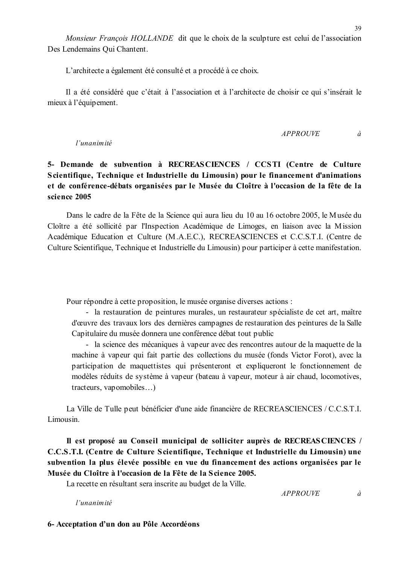L'architecte a également été consulté et a procédé à ce choix.

Il a été considéré que c'était à l'association et à l'architecte de choisir ce qui s'insérait le mieux à l'équipement.

$$
APPROUVE \t\t \hat{a}
$$

#### l'unanimité

## 5- Demande de subvention à RECREASCIENCES / CCSTI (Centre de Culture Scientifique, Technique et Industrielle du Limousin) pour le financement d'animations et de conférence-débats organisées par le Musée du Cloître à l'occasion de la fête de la science 2005

Dans le cadre de la Fête de la Science qui aura lieu du 10 au 16 octobre 2005, le Musée du Cloître a été sollicité par l'Inspection Académique de Limoges, en liaison avec la Mission Académique Education et Culture (M.A.E.C.), RECREASCIENCES et C.C.S.T.I. (Centre de Culture Scientifique, Technique et Industrielle du Limousin) pour participer à cette manifestation.

Pour répondre à cette proposition, le musée organise diverses actions :

- la restauration de peintures murales, un restaurateur spécialiste de cet art, maître d'œuvre des travaux lors des dernières campagnes de restauration des peintures de la Salle Capitulaire du musée donnera une conférence débat tout public

- la science des mécaniques à vapeur avec des rencontres autour de la maquette de la machine à vapeur qui fait partie des collections du musée (fonds Victor Forot), avec la participation de maquettistes qui présenteront et expliqueront le fonctionnement de modèles réduits de système à vapeur (bateau à vapeur, moteur à air chaud, locomotives, tracteurs, vapomobiles...)

La Ville de Tulle peut bénéficier d'une aide financière de RECREASCIENCES / C.C.S.T.I. Limousin.

Il est proposé au Conseil municipal de solliciter auprès de RECREASCIENCES / C.C.S.T.I. (Centre de Culture Scientifique, Technique et Industrielle du Limousin) une subvention la plus élevée possible en vue du financement des actions organisées par le Musée du Cloître à l'occasion de la Fête de la Science 2005.

La recette en résultant sera inscrite au budget de la Ville.

l'unanimité

**APPROUVE** 

 $\dot{a}$ 

6- Acceptation d'un don au Pôle Accordéons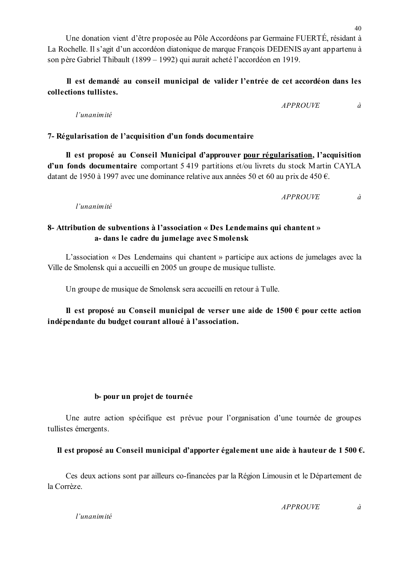l'unanimité

Une donation vient d'être proposée au Pôle Accordéons par Germaine FUERTÉ, résidant à La Rochelle. Il s'agit d'un accordéon diatonique de marque François DEDENIS ayant appartenu à son père Gabriel Thibault (1899 – 1992) qui aurait acheté l'accordéon en 1919.

## Il est demandé au conseil municipal de valider l'entrée de cet accordéon dans les collections tullistes.

l'unanimité

## 7- Régularisation de l'acquisition d'un fonds documentaire

Il est proposé au Conseil Municipal d'approuver pour régularisation, l'acquisition d'un fonds documentaire comportant 5 419 partitions et/ou livrets du stock Martin CAYLA datant de 1950 à 1997 avec une dominance relative aux années 50 et 60 au prix de 450  $\epsilon$ .

> **APPROUVE**  $\partial$

**APPROUVE** 

l'unanimité

## 8- Attribution de subventions à l'association « Des Lendemains qui chantent » a- dans le cadre du jumelage avec Smolensk

L'association « Des Lendemains qui chantent » participe aux actions de jumelages avec la Ville de Smolensk qui a accueilli en 2005 un groupe de musique tulliste.

Un groupe de musique de Smolensk sera accueilli en retour à Tulle.

Il est proposé au Conseil municipal de verser une aide de 1500  $\epsilon$  pour cette action indépendante du budget courant alloué à l'association.

## b-pour un projet de tournée

Une autre action spécifique est prévue pour l'organisation d'une tournée de groupes tullistes émergents.

## Il est proposé au Conseil municipal d'apporter également une aide à hauteur de 1 500  $\epsilon$ .

Ces deux actions sont par ailleurs co-financées par la Région Limousin et le Département de la Corrèze

 $\dot{a}$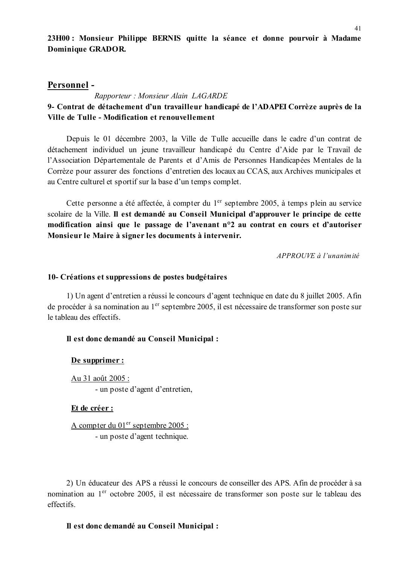## Personnel-

## Rapporteur: Monsieur Alain LAGARDE 9- Contrat de détachement d'un travailleur handicapé de l'ADAPEI Corrèze auprès de la Ville de Tulle - Modification et renouvellement

Depuis le 01 décembre 2003, la Ville de Tulle accueille dans le cadre d'un contrat de détachement individuel un jeune travailleur handicapé du Centre d'Aide par le Travail de l'Association Départementale de Parents et d'Amis de Personnes Handicapées Mentales de la Corrèze pour assurer des fonctions d'entretien des locaux au CCAS, aux Archives municipales et au Centre culturel et sportif sur la base d'un temps complet.

Cette personne a été affectée, à compter du 1<sup>er</sup> septembre 2005, à temps plein au service scolaire de la Ville. Il est demandé au Conseil Municipal d'approuver le principe de cette modification ainsi que le passage de l'avenant n°2 au contrat en cours et d'autoriser Monsieur le Maire à signer les documents à intervenir.

 $APPROUVE \d{d} l'unanim ité$ 

#### 10- Créations et suppressions de postes budgétaires

1) Un agent d'entretien a réussi le concours d'agent technique en date du 8 juillet 2005. Afin de procéder à sa nomination au 1<sup>er</sup> septembre 2005, il est nécessaire de transformer son poste sur le tableau des effectifs.

## Il est donc demandé au Conseil Municipal :

#### De supprimer :

Au 31 août 2005 : - un poste d'agent d'entretien,

#### Et de créer :

A compter du 01<sup>er</sup> septembre 2005 : - un poste d'agent technique.

2) Un éducateur des APS a réussi le concours de conseiller des APS. Afin de procéder à sa nomination au 1<sup>er</sup> octobre 2005, il est nécessaire de transformer son poste sur le tableau des effectifs

## Il est donc demandé au Conseil Municipal :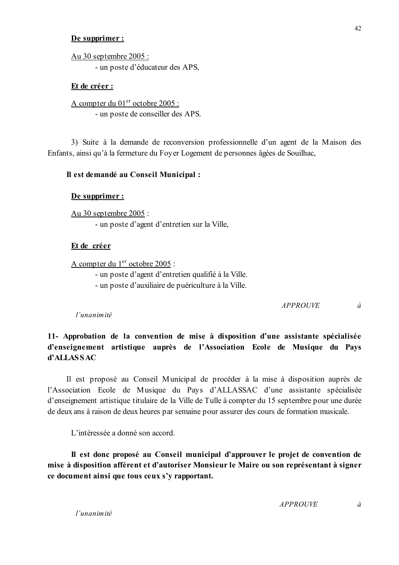#### De supprimer :

Au 30 septembre 2005 : - un poste d'éducateur des APS,

#### Et de créer :

A compter du 01<sup>er</sup> octobre 2005 : - un poste de conseiller des APS.

3) Suite à la demande de reconversion professionnelle d'un agent de la Maison des Enfants, ainsi qu'à la fermeture du Foyer Logement de personnes âgées de Souilhac,

## Il est demandé au Conseil Municipal :

#### De supprimer :

Au 30 septembre 2005 :

- un poste d'agent d'entretien sur la Ville.

#### Et de créer

A compter du 1<sup>er</sup> octobre 2005 :

- un poste d'agent d'entretien qualifié à la Ville.

- un poste d'auxiliaire de puériculture à la Ville.

**APPROUVE**  $\dot{a}$ 

l'unanimité

## 11- Approbation de la convention de mise à disposition d'une assistante spécialisée d'enseignement artistique auprès de l'Association Ecole de Musique du Pays d'ALLASSAC

Il est proposé au Conseil Municipal de procéder à la mise à disposition auprès de l'Association Ecole de Musique du Pays d'ALLASSAC d'une assistante spécialisée d'enseignement artistique titulaire de la Ville de Tulle à compter du 15 septembre pour une durée de deux ans à raison de deux heures par semaine pour assurer des cours de formation musicale.

L'intéressée a donné son accord.

Il est donc proposé au Conseil municipal d'approuver le projet de convention de mise à disposition afférent et d'autoriser Monsieur le Maire ou son représentant à signer ce document ainsi que tous ceux s'y rapportant.

**APPROUVE**  $\dot{a}$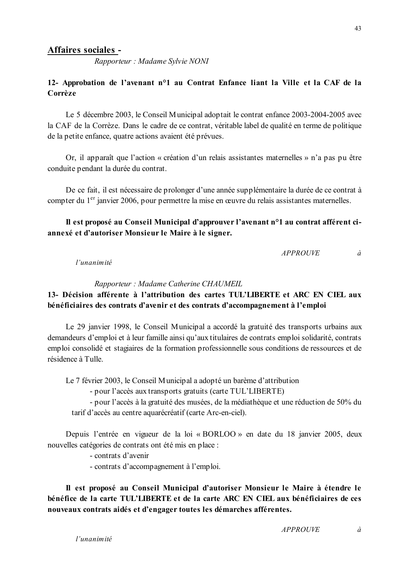## Affaires sociales -

Rapporteur: Madame Sylvie NONI

## 12- Approbation de l'avenant n°1 au Contrat Enfance liant la Ville et la CAF de la Corrèze

Le 5 décembre 2003, le Conseil Municipal adoptait le contrat enfance 2003-2004-2005 avec la CAF de la Corrèze. Dans le cadre de ce contrat, véritable label de qualité en terme de politique de la petite enfance, quatre actions avaient été prévues.

Or, il apparaît que l'action « création d'un relais assistantes maternelles » n'a pas pu être conduite pendant la durée du contrat.

De ce fait, il est nécessaire de prolonger d'une année supplémentaire la durée de ce contrat à compter du 1<sup>er</sup> janvier 2006, pour permettre la mise en œuvre du relais assistantes maternelles.

#### Il est proposé au Conseil Municipal d'approuver l'avenant n<sup>o</sup>l au contrat afférent ciannexé et d'autoriser Monsieur le Maire à le signer.

**APPROUVE**  $\dot{a}$ 

l'unanimité

Rapporteur: Madame Catherine CHAUMEIL

## 13- Décision afférente à l'attribution des cartes TUL'LIBERTE et ARC EN CIEL aux bénéficiaires des contrats d'avenir et des contrats d'accompagnement à l'emploi

Le 29 janvier 1998, le Conseil Municipal a accordé la gratuité des transports urbains aux demandeurs d'emploi et à leur famille ainsi qu'aux titulaires de contrats emploi solidarité, contrats emploi consolidé et stagiaires de la formation professionnelle sous conditions de ressources et de résidence à Tulle.

Le 7 février 2003, le Conseil Municipal a adopté un barème d'attribution

- pour l'accès aux transports gratuits (carte TUL'LIBERTE)

- pour l'accès à la gratuité des musées, de la médiathèque et une réduction de 50% du tarif d'accès au centre aquarécréatif (carte Arc-en-ciel).

Depuis l'entrée en vigueur de la loi « BORLOO » en date du 18 janvier 2005, deux nouvelles catégories de contrats ont été mis en place :

- contrats d'avenir

- contrats d'accompagnement à l'emploi.

Il est proposé au Conseil Municipal d'autoriser Monsieur le Maire à étendre le bénéfice de la carte TUL'LIBERTE et de la carte ARC EN CIEL aux bénéficiaires de ces nouveaux contrats aidés et d'engager toutes les démarches afférentes.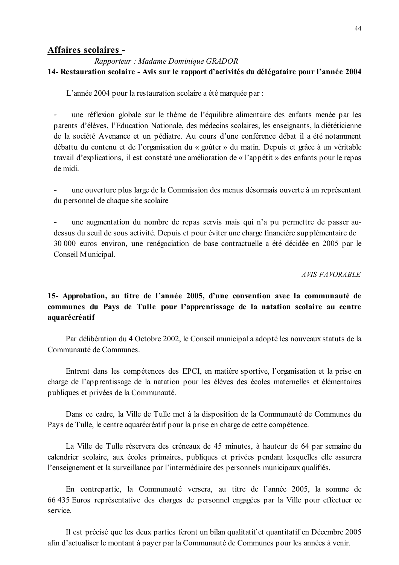## Affaires scolaires -

## Rapporteur: Madame Dominique GRADOR 14- Restauration scolaire - Avis sur le rapport d'activités du délégataire pour l'année 2004

L'année 2004 pour la restauration scolaire a été marquée par :

une réflexion globale sur le thème de l'équilibre alimentaire des enfants menée par les  $\overline{a}$ parents d'élèves, l'Education Nationale, des médecins scolaires, les enseignants, la diététicienne de la société Avenance et un pédiatre. Au cours d'une conférence débat il a été notamment débattu du contenu et de l'organisation du « goûter » du matin. Depuis et grâce à un véritable travail d'explications, il est constaté une amélioration de « l'appétit » des enfants pour le repas de midi

une ouverture plus large de la Commission des menus désormais ouverte à un représentant du personnel de chaque site scolaire

une augmentation du nombre de repas servis mais qui n'a pu permettre de passer audessus du seuil de sous activité. Depuis et pour éviter une charge financière supplémentaire de 30 000 euros environ, une renégociation de base contractuelle a été décidée en 2005 par le Conseil Municipal.

#### **AVIS FAVORABLE**

## 15- Approbation, au titre de l'année 2005, d'une convention avec la communauté de communes du Pays de Tulle pour l'apprentissage de la natation scolaire au centre aquarécréatif

Par délibération du 4 Octobre 2002, le Conseil municipal a adopté les nouveaux statuts de la Communauté de Communes.

Entrent dans les compétences des EPCI, en matière sportive, l'organisation et la prise en charge de l'apprentissage de la natation pour les élèves des écoles maternelles et élémentaires publiques et privées de la Communauté.

Dans ce cadre, la Ville de Tulle met à la disposition de la Communauté de Communes du Pays de Tulle, le centre aquarécréatif pour la prise en charge de cette compétence.

La Ville de Tulle réservera des créneaux de 45 minutes, à hauteur de 64 par semaine du calendrier scolaire, aux écoles primaires, publiques et privées pendant lesquelles elle assurera l'enseignement et la surveillance par l'intermédiaire des personnels municipaux qualifiés.

En contrepartie, la Communauté versera, au titre de l'année 2005, la somme de 66 435 Euros représentative des charges de personnel engagées par la Ville pour effectuer ce service

Il est précisé que les deux parties feront un bilan qualitatif et quantitatif en Décembre 2005 afin d'actualiser le montant à payer par la Communauté de Communes pour les années à venir.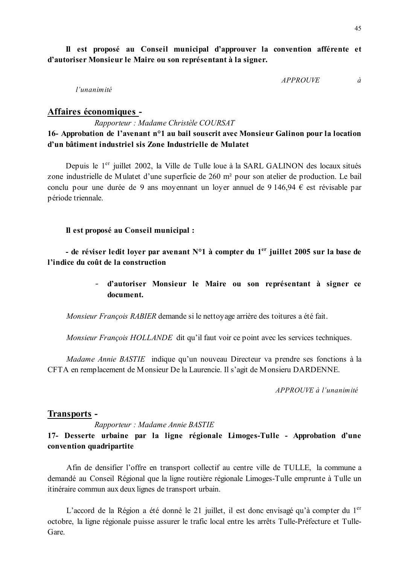Il est proposé au Conseil municipal d'approuver la convention afférente et d'autoriser Monsieur le Maire ou son représentant à la signer.

> *APPROUVE*  $\partial$

 $l'$ unanimité

#### Affaires économiques -

Rapporteur : Madame Christèle COURSAT

## 16- Approbation de l'avenant n<sup>o</sup>1 au bail souscrit avec Monsieur Galinon pour la location d'un bâtiment industriel sis Zone Industrielle de Mulatet

Depuis le 1<sup>er</sup> juillet 2002, la Ville de Tulle loue à la SARL GALINON des locaux situés zone industrielle de Mulatet d'une superficie de 260 m<sup>2</sup> pour son atelier de production. Le bail conclu pour une durée de 9 ans moyennant un loyer annuel de 9 146,94  $\epsilon$  est révisable par période triennale.

Il est proposé au Conseil municipal :

- de réviser ledit lover par avenant  $N^{\circ}1$  à compter du 1<sup>er</sup> juillet 2005 sur la base de l'indice du coût de la construction

> d'autoriser Monsieur le Maire ou son représentant à signer ce document.

Monsieur François RABIER demande si le nettoyage arrière des toitures a été fait.

Monsieur François HOLLANDE dit qu'il faut voir ce point avec les services techniques.

*Madame Annie BASTIE* indique qu'un nouveau Directeur va prendre ses fonctions à la CFTA en remplacement de Monsieur De la Laurencie. Il s'agit de Monsieru DARDENNE.

APPROUVE à l'unanimité

#### **Transports -**

#### Rapporteur : Madame Annie BASTIE

17- Desserte urbaine par la ligne régionale Limoges-Tulle - Approbation d'une convention quadripartite

Afin de densifier l'offre en transport collectif au centre ville de TULLE, la commune a demandé au Conseil Régional que la ligne routière régionale Limoges-Tulle emprunte à Tulle un itinéraire commun aux deux lignes de transport urbain.

L'accord de la Région a été donné le 21 juillet, il est donc envisagé qu'à compter du 1<sup>er</sup> octobre, la ligne régionale puisse assurer le trafic local entre les arrêts Tulle-Préfecture et Tulle-Gare.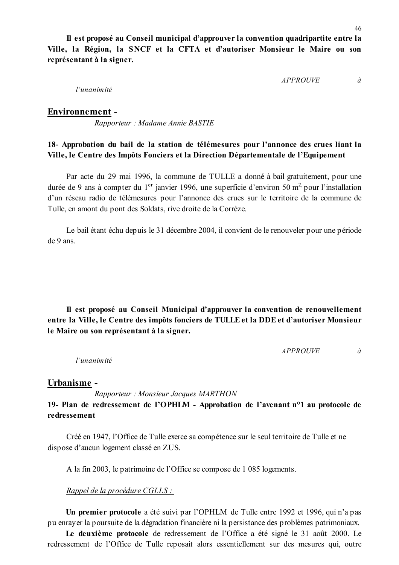Il est proposé au Conseil municipal d'approuver la convention quadripartite entre la Ville, la Région, la SNCF et la CFTA et d'autoriser Monsieur le Maire ou son représentant à la signer.

> **APPROUVE**  $\dot{a}$

 $l'$ unanimité

#### **Environnement -**

Rapporteur: Madame Annie BASTIE

## 18- Approbation du bail de la station de télémesures pour l'annonce des crues liant la Ville, le Centre des Impôts Fonciers et la Direction Départementale de l'Equipement

Par acte du 29 mai 1996, la commune de TULLE a donné à bail gratuitement, pour une durée de 9 ans à compter du 1<sup>er</sup> janvier 1996, une superficie d'environ 50 m<sup>2</sup> pour l'installation d'un réseau radio de télémesures pour l'annonce des crues sur le territoire de la commune de Tulle, en amont du pont des Soldats, rive droite de la Corrèze.

Le bail étant échu depuis le 31 décembre 2004, il convient de le renouveler pour une période de 9 ans

Il est proposé au Conseil Municipal d'approuver la convention de renouvellement entre la Ville, le Centre des impôts fonciers de TULLE et la DDE et d'autoriser Monsieur le Maire ou son représentant à la signer.

> **APPROUVE**  $\dot{a}$

l'unanimité

#### Urbanisme -

Rapporteur: Monsieur Jacques MARTHON

## 19- Plan de redressement de l'OPHLM - Approbation de l'avenant n°1 au protocole de redressement

Créé en 1947, l'Office de Tulle exerce sa compétence sur le seul territoire de Tulle et ne dispose d'aucun logement classé en ZUS.

A la fin 2003, le patrimoine de l'Office se compose de 1 085 logements.

Rappel de la procédure CGLLS :

Un premier protocole a été suivi par l'OPHLM de Tulle entre 1992 et 1996, qui n'a pas pu enrayer la poursuite de la dégradation financière ni la persistance des problèmes patrimoniaux.

Le deuxième protocole de redressement de l'Office a été signé le 31 août 2000. Le redressement de l'Office de Tulle reposait alors essentiellement sur des mesures qui, outre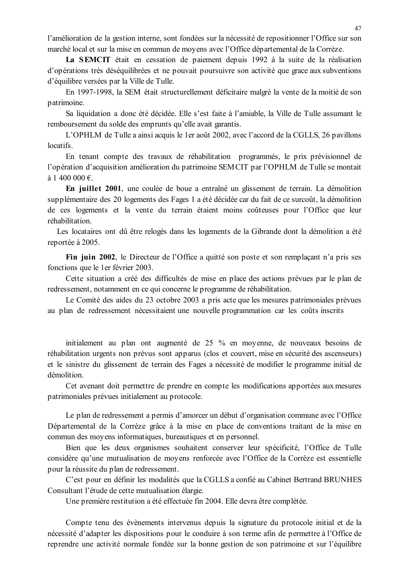l'amélioration de la gestion interne, sont fondées sur la nécessité de repositionner l'Office sur son marché local et sur la mise en commun de movens avec l'Office départemental de la Corrèze.

La SEMCIT était en cessation de paiement depuis 1992 à la suite de la réalisation d'opérations très déséquilibrées et ne pouvait poursuivre son activité que grace aux subventions d'équilibre versées par la Ville de Tulle.

En 1997-1998, la SEM était structurellement déficitaire malgré la vente de la moitié de son patrimoine.

Sa liquidation a donc été décidée. Elle s'est faite à l'amiable, la Ville de Tulle assumant le remboursement du solde des emprunts qu'elle avait garantis.

L'OPHLM de Tulle a ainsi acquis le 1 er août 2002, avec l'accord de la CGLLS, 26 pavillons locatifs.

En tenant compte des travaux de réhabilitation programmés, le prix prévisionnel de l'opération d'acquisition amélioration du patrimoine SEMCIT par l'OPHLM de Tulle se montait à 1 400 000 €.

En juillet 2001, une coulée de boue a entraîné un glissement de terrain. La démolition supplémentaire des 20 logements des Fages 1 a été décidée car du fait de ce surcoût, la démolition de ces logements et la vente du terrain étaient moins coûteuses pour l'Office que leur réhabilitation.

Les locataires ont dû être relogés dans les logements de la Gibrande dont la démolition a été reportée à 2005.

Fin juin 2002, le Directeur de l'Office a quitté son poste et son remplaçant n'a pris ses fonctions que le 1 er février 2003.

Cette situation a créé des difficultés de mise en place des actions prévues par le plan de redressement, notamment en ce qui concerne le programme de réhabilitation.

Le Comité des aides du 23 octobre 2003 a pris acte que les mesures patrimoniales prévues au plan de redressement nécessitaient une nouvelle programmation car les coûts inscrits

initialement au plan ont augmenté de 25 % en moyenne, de nouveaux besoins de réhabilitation urgents non prévus sont apparus (clos et couvert, mise en sécurité des ascenseurs) et le sinistre du glissement de terrain des Fages a nécessité de modifier le programme initial de démolition

Cet avenant doit permettre de prendre en compte les modifications apportées aux mesures patrimoniales prévues initialement au protocole.

Le plan de redressement a permis d'amorcer un début d'organisation commune avec l'Office Départemental de la Corrèze grâce à la mise en place de conventions traitant de la mise en commun des moyens informatiques, bureautiques et en personnel.

Bien que les deux organismes souhaitent conserver leur spécificité, l'Office de Tulle considère qu'une mutualisation de moyens renforcée avec l'Office de la Corrèze est essentielle pour la réussite du plan de redressement.

C'est pour en définir les modalités que la CGLLS a confié au Cabinet Bertrand BRUNHES Consultant l'étude de cette mutualisation élargie.

Une première restitution a été effectuée fin 2004. Elle devra être complétée.

Compte tenu des évènements intervenus depuis la signature du protocole initial et de la nécessité d'adapter les dispositions pour le conduire à son terme afin de permettre à l'Office de reprendre une activité normale fondée sur la bonne gestion de son patrimoine et sur l'équilibre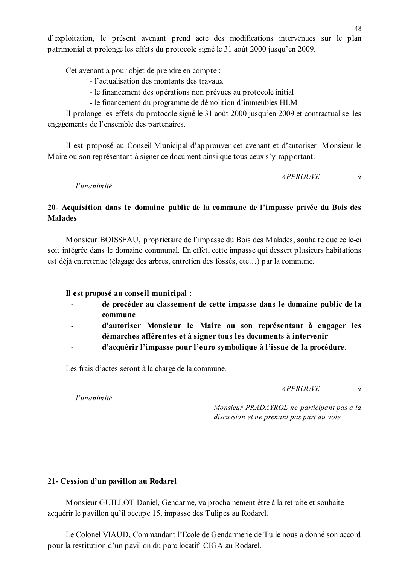d'exploitation, le présent avenant prend acte des modifications intervenues sur le plan patrimonial et prolonge les effets du protocole signé le 31 août 2000 jusqu'en 2009.

Cet avenant a pour objet de prendre en compte :

- l'actualisation des montants des travaux
- le financement des opérations non prévues au protocole initial
- le financement du programme de démolition d'immeubles HLM

Il prolonge les effets du protocole signé le 31 août 2000 jusqu'en 2009 et contractualise les engagements de l'ensemble des partenaires.

Il est proposé au Conseil Municipal d'approuver cet avenant et d'autoriser Monsieur le Maire ou son représentant à signer ce document ainsi que tous ceux s'y rapportant.

> **APPROUVE** à

l'unanimité

## 20- Acquisition dans le domaine public de la commune de l'impasse privée du Bois des **Malades**

Monsieur BOISSEAU, propriétaire de l'impasse du Bois des Malades, souhaite que celle-ci soit intégrée dans le domaine communal. En effet, cette impasse qui dessert plusieurs habitations est déjà entretenue (élagage des arbres, entretien des fossés, etc...) par la commune.

Il est proposé au conseil municipal :

- de procéder au classement de cette impasse dans le domaine public de la  $\overline{a}$ commune
- d'autoriser Monsieur le Maire ou son représentant à engager les démarches afférentes et à signer tous les documents à intervenir
- d'acquérir l'impasse pour l'euro symbolique à l'issue de la procédure.

Les frais d'actes seront à la charge de la commune.

*APPROUVE* 

 $\hat{a}$ 

 $l'$ unanimité

Monsieur PRADAYROL ne participant pas à la discussion et ne prenant pas part au vote

#### 21- Cession d'un pavillon au Rodarel

Monsieur GUILLOT Daniel, Gendarme, va prochainement être à la retraite et souhaite acquérir le pavillon qu'il occupe 15, impasse des Tulipes au Rodarel.

Le Colonel VIAUD, Commandant l'Ecole de Gendarmerie de Tulle nous a donné son accord pour la restitution d'un pavillon du parc locatif CIGA au Rodarel.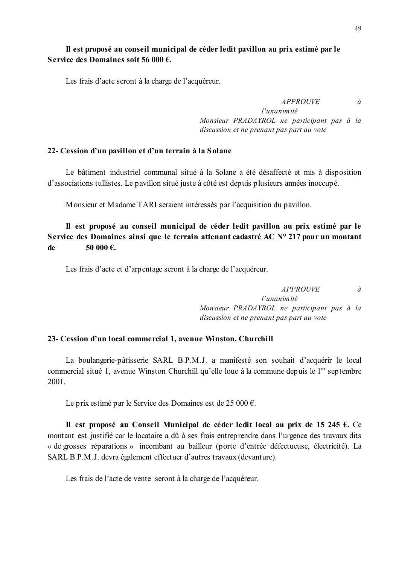## Il est proposé au conseil municipal de céder ledit pavillon au prix estimé par le Service des Domaines soit 56 000  $\epsilon$ .

Les frais d'acte seront à la charge de l'acquéreur.

à

 $l'$ unanimité Monsieur PRADAYROL ne participant pas à la discussion et ne prenant pas part au vote

*APPROUVE* 

#### 22- Cession d'un pavillon et d'un terrain à la Solane

Le bâtiment industriel communal situé à la Solane a été désaffecté et mis à disposition d'associations tullistes. Le pavillon situé juste à côté est depuis plusieurs années inoccupé.

Monsieur et Madame TARI seraient intéressés par l'acquisition du pavillon.

#### Il est proposé au conseil municipal de céder ledit pavillon au prix estimé par le Service des Domaines ainsi que le terrain attenant cadastré AC N° 217 pour un montant  $\mathbf{d}\mathbf{e}$ 50.000  $\boldsymbol{\epsilon}$

Les frais d'acte et d'arpentage seront à la charge de l'acquéreur.

 $\dot{a}$ 

l'unanimité Monsieur PRADAYROL ne participant pas à la discussion et ne prenant pas part au vote

**APPROUVE** 

#### 23- Cession d'un local commercial 1, avenue Winston. Churchill

La boulangerie-pâtisserie SARL B.P.M.J. a manifesté son souhait d'acquérir le local commercial situé 1, avenue Winston Churchill qu'elle loue à la commune depuis le 1<sup>er</sup> septembre 2001.

Le prix estimé par le Service des Domaines est de 25 000  $\epsilon$ .

Il est proposé au Conseil Municipal de céder ledit local au prix de 15 245  $\epsilon$ . Ce montant est justifié car le locataire a dû à ses frais entreprendre dans l'urgence des travaux dits « de grosses réparations » incombant au bailleur (porte d'entrée défectueuse, électricité). La SARL B.P.M.J. devra également effectuer d'autres travaux (devanture).

Les frais de l'acte de vente seront à la charge de l'acquéreur.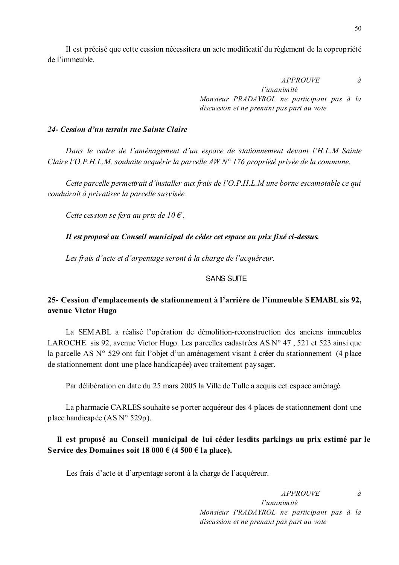Il est précisé que cette cession nécessitera un acte modificatif du règlement de la copropriété de l'immeuble.

> **APPROUVE**  $\dot{a}$ l'unanimité Monsieur PRADAYROL ne participant pas à la discussion et ne prenant pas part au vote

#### 24- Cession d'un terrain rue Sainte Claire

Dans le cadre de l'aménagement d'un espace de stationnement devant l'H.L.M Sainte Claire l'O.P.H.L.M. souhaite acquérir la parcelle AW N° 176 propriété privée de la commune.

Cette parcelle permettrait d'installer aux frais de l'O.P.H.L.M une borne escamotable ce qui conduirait à privatiser la parcelle susvisée.

Cette cession se fera au prix de 10  $\epsilon$ .

Il est proposé au Conseil municipal de céder cet espace au prix fixé ci-dessus.

Les frais d'acte et d'arpentage seront à la charge de l'acquéreur.

#### **SANS SUITE**

## 25- Cession d'emplacements de stationnement à l'arrière de l'immeuble SEMABL sis 92, avenue Victor Hugo

La SEMABL a réalisé l'opération de démolition-reconstruction des anciens immeubles LAROCHE sis 92, avenue Victor Hugo. Les parcelles cadastrées AS N° 47, 521 et 523 ainsi que la parcelle AS N° 529 ont fait l'objet d'un aménagement visant à créer du stationnement (4 place de stationnement dont une place handicapée) avec traitement paysager.

Par délibération en date du 25 mars 2005 la Ville de Tulle a acquis cet espace aménagé.

La pharmacie CARLES souhaite se porter acquéreur des 4 places de stationnement dont une place handicapée (AS N° 529p).

## Il est proposé au Conseil municipal de lui céder lesdits parkings au prix estimé par le Service des Domaines soit 18 000 € (4 500 € la place).

Les frais d'acte et d'arpentage seront à la charge de l'acquéreur.

**APPROUVE**  $\dot{a}$ l'unanimité Monsieur PRADAYROL ne participant pas à la discussion et ne prenant pas part au vote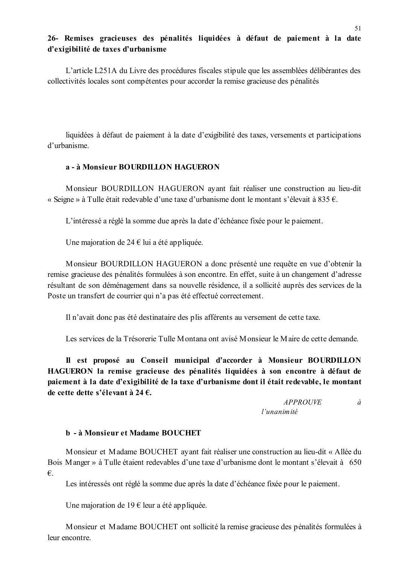## 26- Remises gracieuses des pénalités liquidées à défaut de paiement à la date d'exigibilité de taxes d'urbanisme

L'article L251A du Livre des procédures fiscales stipule que les assemblées délibérantes des collectivités locales sont compétentes pour accorder la remise gracieuse des pénalités

liquidées à défaut de paiement à la date d'exigibilité des taxes, versements et participations d'urbanisme

#### a - à Monsieur BOURDILLON HAGUERON

Monsieur BOURDILLON HAGUERON avant fait réaliser une construction au lieu-dit « Seigne » à Tulle était redevable d'une taxe d'urbanisme dont le montant s'élevait à 835  $\epsilon$ .

L'intéressé a réglé la somme due après la date d'échéance fixée pour le paiement.

Une majoration de 24  $\epsilon$  lui a été appliquée.

Monsieur BOURDILLON HAGUERON a donc présenté une requête en vue d'obtenir la remise gracieuse des pénalités formulées à son encontre. En effet, suite à un changement d'adresse résultant de son déménagement dans sa nouvelle résidence, il a sollicité auprès des services de la Poste un transfert de courrier qui n'a pas été effectué correctement.

Il n'avait donc pas été destinataire des plis afférents au versement de cette taxe.

Les services de la Trésorerie Tulle Montana ont avisé Monsieur le Maire de cette demande.

Il est proposé au Conseil municipal d'accorder à Monsieur BOURDILLON HAGUERON la remise gracieuse des pénalités liquidées à son encontre à défaut de paiement à la date d'exigibilité de la taxe d'urbanisme dont il était redevable, le montant de cette dette s'élevant à 24  $\epsilon$ .

> *APPROUVE*  $\hat{a}$ l'unanimité

#### b - à Monsieur et Madame BOUCHET

Monsieur et Madame BOUCHET avant fait réaliser une construction au lieu-dit « Allée du Bois Manger » à Tulle étaient redevables d'une taxe d'urbanisme dont le montant s'élevait à 650  $\epsilon$ .

Les intéressés ont réglé la somme due après la date d'échéance fixée pour le paiement.

Une majoration de 19  $\epsilon$  leur a été appliquée.

Monsieur et Madame BOUCHET ont sollicité la remise gracieuse des pénalités formulées à leur encontre.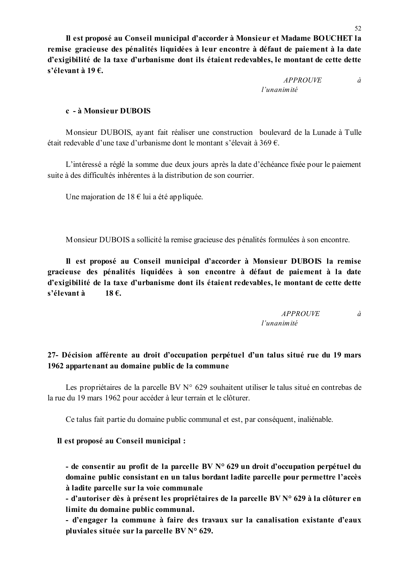Il est proposé au Conseil municipal d'accorder à Monsieur et Madame BOUCHET la remise gracieuse des pénalités liquidées à leur encontre à défaut de paiement à la date d'exigibilité de la taxe d'urbanisme dont ils étaient redevables, le montant de cette dette s'élevant à 19€.

> **APPROUVE**  $\hat{a}$ l'unanimité

#### c - à Monsieur DUBOIS

Monsieur DUBOIS, avant fait réaliser une construction boulevard de la Lunade à Tulle était redevable d'une taxe d'urbanisme dont le montant s'élevait à 369  $\epsilon$ .

L'intéressé a réglé la somme due deux jours après la date d'échéance fixée pour le paiement suite à des difficultés inhérentes à la distribution de son courrier

Une majoration de 18  $\epsilon$  lui a été appliquée.

Monsieur DUBOIS a sollicité la remise gracieuse des pénalités formulées à son encontre.

Il est proposé au Conseil municipal d'accorder à Monsieur DUBOIS la remise gracieuse des pénalités liquidées à son encontre à défaut de paiement à la date d'exigibilité de la taxe d'urbanisme dont ils étaient redevables, le montant de cette dette s'élevant à  $18 \text{ } \infty$ 

| <b>APPROUVE</b> |  |
|-----------------|--|
| l'unanimité     |  |

## 27- Décision afférente au droit d'occupation perpétuel d'un talus situé rue du 19 mars 1962 appartenant au domaine public de la commune

Les propriétaires de la parcelle BV N° 629 souhaitent utiliser le talus situé en contrebas de la rue du 19 mars 1962 pour accéder à leur terrain et le clôturer.

Ce talus fait partie du domaine public communal et est, par conséquent, inaliénable.

#### Il est proposé au Conseil municipal :

- de consentir au profit de la parcelle  $BV N^{\circ} 629$  un droit d'occupation perpétuel du domaine public consistant en un talus bordant ladite parcelle pour permettre l'accès à ladite parcelle sur la voie communale

- d'autoriser dès à présent les propriétaires de la parcelle BV N° 629 à la clôturer en limite du domaine public communal.

- d'engager la commune à faire des travaux sur la canalisation existante d'eaux pluviales située sur la parcelle BV N° 629.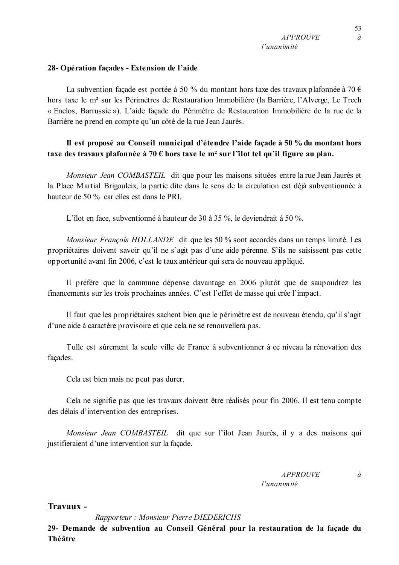53

 $\dot{a}$ 

#### 28- Opération façades - Extension de l'aide

La subvention façade est portée à 50 % du montant hors taxe des travaux plafonnée à 70  $\epsilon$ hors taxe le m<sup>2</sup> sur les Périmètres de Restauration Immobilière (la Barrière, l'Alverge, Le Trech « Enclos, Barrussie »). L'aide façade du Périmètre de Restauration Immobilière de la rue de la Barrière ne prend en compte qu'un côté de la rue Jean Jaurès.

## Il est proposé au Conseil municipal d'étendre l'aide façade à 50 % du montant hors taxe des travaux plafonnée à 70  $\epsilon$  hors taxe le m<sup>2</sup> sur l'îlot tel qu'il figure au plan.

Monsieur Jean COMBASTEIL dit que pour les maisons situées entre la rue Jean Jaurès et la Place Martial Brigouleix, la partie dite dans le sens de la circulation est déjà subventionnée à hauteur de 50 % car elles est dans le PRI.

L'îlot en face, subventionné à hauteur de 30 à 35 %, le deviendrait à 50 %.

Monsieur François HOLLANDE dit que les 50 % sont accordés dans un temps limité. Les propriétaires doivent savoir qu'il ne s'agit pas d'une aide pérenne. S'ils ne saisissent pas cette opportunité avant fin 2006, c'est le taux antérieur qui sera de nouveau appliqué.

Il préfère que la commune dépense davantage en 2006 plutôt que de saupoudrez les financements sur les trois prochaines années. C'est l'effet de masse qui crée l'impact.

Il faut que les propriétaires sachent bien que le périmètre est de nouveau étendu, qu'il s'agit d'une aide à caractère provisoire et que cela ne se renouvellera pas.

Tulle est sûrement la seule ville de France à subventionner à ce niveau la rénovation des façades.

Cela est bien mais ne peut pas durer.

Cela ne signifie pas que les travaux doivent être réalisés pour fin 2006. Il est tenu compte des délais d'intervention des entreprises.

Monsieur Jean COMBASTEIL dit que sur l'îlot Jean Jaurès, il y a des maisons qui justifieraient d'une intervention sur la façade.

> **APPROUVE** l'unanimité

 $\partial$ 

## Travaux -

Rapporteur: Monsieur Pierre DIEDERICHS

29- Demande de subvention au Conseil Général pour la restauration de la façade du Théâtre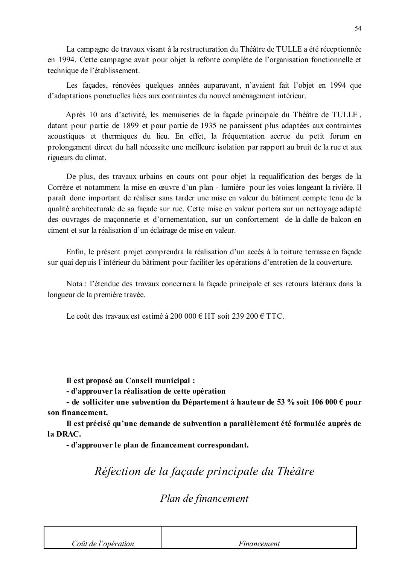La campagne de travaux visant à la restructuration du Théâtre de TULLE a été réceptionnée en 1994. Cette campagne avait pour objet la refonte complète de l'organisation fonctionnelle et technique de l'établissement.

Les façades, rénovées quelques années auparavant, n'avaient fait l'objet en 1994 que d'adaptations ponctuelles liées aux contraintes du nouvel aménagement intérieur.

Après 10 ans d'activité, les menuiseries de la facade principale du Théâtre de TULLE. datant pour partie de 1899 et pour partie de 1935 ne paraissent plus adaptées aux contraintes acoustiques et thermiques du lieu. En effet, la fréquentation accrue du petit forum en prolongement direct du hall nécessite une meilleure isolation par rapport au bruit de la rue et aux rigueurs du climat.

De plus, des travaux urbains en cours ont pour objet la requalification des berges de la Corrèze et notamment la mise en œuvre d'un plan - lumière pour les voies longeant la rivière. Il paraît donc important de réaliser sans tarder une mise en valeur du bâtiment compte tenu de la qualité architecturale de sa façade sur rue. Cette mise en valeur portera sur un nettoyage adapté des ouvrages de maçonnerie et d'ornementation, sur un confortement de la dalle de balcon en ciment et sur la réalisation d'un éclairage de mise en valeur.

Enfin, le présent projet comprendra la réalisation d'un accès à la toiture terrasse en facade sur quai depuis l'intérieur du bâtiment pour faciliter les opérations d'entretien de la couverture.

Nota : l'étendue des travaux concernera la façade principale et ses retours latéraux dans la longueur de la première travée.

Le coût des travaux est estimé à 200 000  $\epsilon$  HT soit 239 200  $\epsilon$  TTC.

Il est proposé au Conseil municipal :

- d'approuver la réalisation de cette opération

- de solliciter une subvention du Département à hauteur de 53 % soit 106 000  $\epsilon$  pour son financement.

Il est précisé qu'une demande de subvention a parallèlement été formulée auprès de la DRAC.

- d'approuver le plan de financement correspondant.

Réfection de la façade principale du Théâtre

# Plan de financement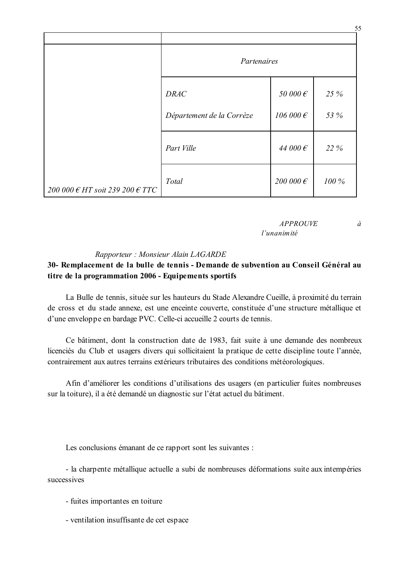|                                                   |                           |                    | 55    |
|---------------------------------------------------|---------------------------|--------------------|-------|
|                                                   | Partenaires               |                    |       |
|                                                   | <b>DRAC</b>               | 50 000 $\epsilon$  | 25 %  |
|                                                   | Département de la Corrèze | 106 000 $\epsilon$ | 53 %  |
|                                                   | Part Ville                | 44 000 $\epsilon$  | 22 %  |
| 200 000 $\epsilon$ HT soit 239 200 $\epsilon$ TTC | Total                     | 200 000 $\epsilon$ | 100 % |

#### **APPROUVE**  $\dot{a}$ l'unanimité

#### Rapporteur: Monsieur Alain LAGARDE

## 30- Remplacement de la bulle de tennis - Demande de subvention au Conseil Général au titre de la programmation 2006 - Equipements sportifs

La Bulle de tennis, située sur les hauteurs du Stade Alexandre Cueille, à proximité du terrain de cross et du stade annexe, est une enceinte couverte, constituée d'une structure métallique et d'une enveloppe en bardage PVC. Celle-ci accueille 2 courts de tennis.

Ce bâtiment, dont la construction date de 1983, fait suite à une demande des nombreux licenciés du Club et usagers divers qui sollicitaient la pratique de cette discipline toute l'année, contrairement aux autres terrains extérieurs tributaires des conditions météorologiques.

Afin d'améliorer les conditions d'utilisations des usagers (en particulier fuites nombreuses sur la toiture), il a été demandé un diagnostic sur l'état actuel du bâtiment.

Les conclusions émanant de ce rapport sont les suivantes :

- la charpente métallique actuelle a subi de nombreuses déformations suite aux intempéries successives

- fuites importantes en toiture
- ventilation insuffisante de cet espace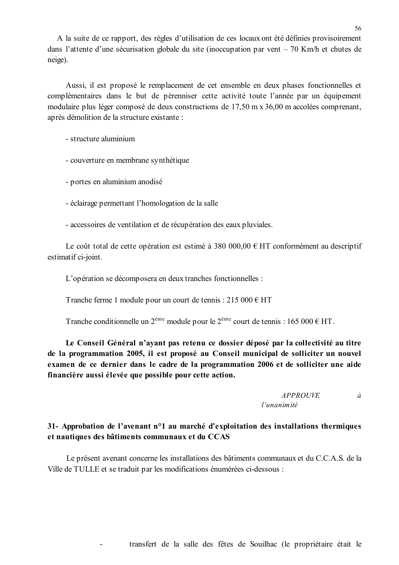A la suite de ce rapport, des règles d'utilisation de ces locaux ont été définies provisoirement dans l'attente d'une sécurisation globale du site (inoccupation par vent  $-70$  Km/h et chutes de neige).

Aussi, il est proposé le remplacement de cet ensemble en deux phases fonctionnelles et complémentaires dans le but de pérenniser cette activité toute l'année par un équipement modulaire plus léger composé de deux constructions de 17.50 m x 36,00 m accolées comprenant, après démolition de la structure existante :

- structure aluminium

- couverture en membrane synthétique

- portes en aluminium anodisé

- éclairage permettant l'homologation de la salle
- accessoires de ventilation et de récupération des eaux pluviales.

Le coût total de cette opération est estimé à 380 000,00  $\epsilon$  HT conformément au descriptif estimatif ci-joint.

L'opération se décomposera en deux tranches fonctionnelles :

Tranche ferme 1 module pour un court de tennis : 215 000  $\epsilon$  HT

Tranche conditionnelle un  $2^{eme}$  module pour le  $2^{eme}$  court de tennis : 165 000 € HT.

Le Conseil Général n'avant pas retenu ce dossier déposé par la collectivité au titre de la programmation 2005, il est proposé au Conseil municipal de solliciter un nouvel examen de ce dernier dans le cadre de la programmation 2006 et de solliciter une aide financière aussi élevée que possible pour cette action.

> *APPROUVE*  $\dot{a}$ l'unanimité

## 31- Approbation de l'avenant n°1 au marché d'exploitation des installations thermiques et nautiques des bâtiments communaux et du CCAS

Le présent avenant concerne les installations des bâtiments communaux et du C.C.A.S. de la Ville de TULLE et se traduit par les modifications énumérées ci-dessous :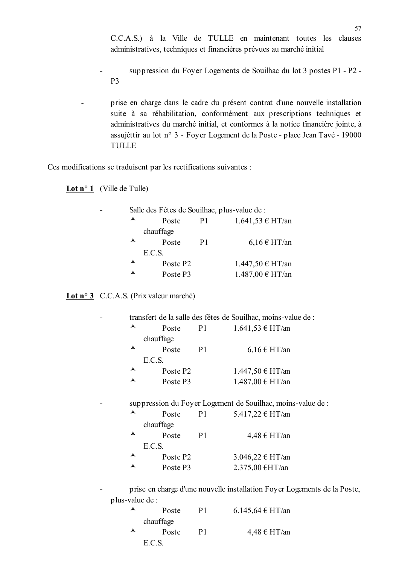C.C.A.S.) à la Ville de TULLE en maintenant toutes les clauses administratives, techniques et financières prévues au marché initial

suppression du Foyer Logements de Souilhac du lot 3 postes P1 - P2 -P<sub>3</sub>

prise en charge dans le cadre du présent contrat d'une nouvelle installation suite à sa réhabilitation, conformément aux prescriptions techniques et administratives du marché initial, et conformes à la notice financière jointe, à assujéttir au lot n° 3 - Foyer Logement de la Poste - place Jean Tavé - 19000 **TULLE** 

Ces modifications se traduisent par les rectifications suivantes :

Lot  $n^{\circ}$  1 (Ville de Tulle)

 $\overline{a}$ 

 $\overline{a}$ 

 $\overline{a}$ 

| Salle des Fêtes de Souilhac, plus-value de : |                      |                |                      |
|----------------------------------------------|----------------------|----------------|----------------------|
| ▴                                            | Poste                | P <sub>1</sub> | $1.641,53 \in HT/an$ |
|                                              | chauffage            |                |                      |
| ▴                                            | Poste                | P <sub>1</sub> | $6,16 \in HT$ /an    |
|                                              | E.C.S.               |                |                      |
| ▴                                            | Poste P <sub>2</sub> |                | 1.447,50 € HT/an     |
| ▴                                            | Poste P3             |                | 1.487,00 € HT/an     |

#### **Lot n° 3** C.C.A.S. (Prix valeur marché)

|   |                      |                | transfert de la salle des fêtes de Souilhac, moins-value de : |
|---|----------------------|----------------|---------------------------------------------------------------|
| ▴ | Poste                | P <sub>1</sub> | $1.641,53 \in HT/an$                                          |
|   | chauffage            |                |                                                               |
| ▴ | Poste                | P <sub>1</sub> | $6,16 \in HT$ /an                                             |
|   | E.C.S.               |                |                                                               |
| ⋏ | Poste P <sub>2</sub> |                | 1.447,50 € HT/an                                              |
|   | Poste P3             |                | 1.487,00 € HT/an                                              |
|   |                      |                |                                                               |

suppression du Foyer Logement de Souilhac, moins-value de :

| $\overline{\phantom{a}}$ | Poste                | P1 | 5.417,22 € HT/an  |
|--------------------------|----------------------|----|-------------------|
|                          | chauffage            |    |                   |
| $\blacktriangle$         | Poste                | P1 | $4,48 \in HT$ /an |
|                          | E.C.S.               |    |                   |
| $\blacktriangle$         | Poste P <sub>2</sub> |    | 3.046,22 € HT/an  |
| ▴                        | Poste P3             |    | 2.375,00 €HT/an   |

prise en charge d'une nouvelle installation Foyer Logements de la Poste, plus-value de :

|   | Poste     | P1 | 6.145,64 € HT/an |
|---|-----------|----|------------------|
|   | chauffage |    |                  |
| ▴ | Poste     | P1 | $4,48 \in HT/an$ |
|   | E.C.S.    |    |                  |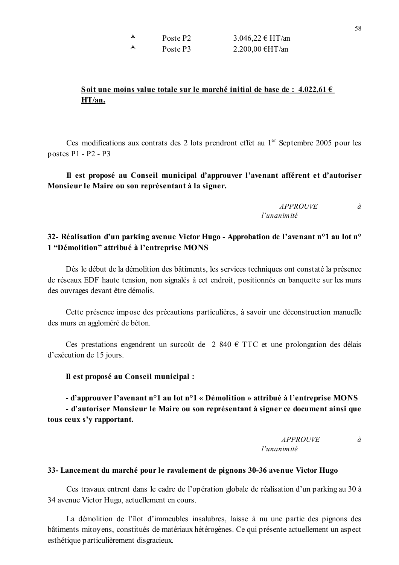| $\overline{\mathbf{A}}$  | Poste P <sub>2</sub> | 3.046,22 € HT/an |
|--------------------------|----------------------|------------------|
| $\overline{\phantom{a}}$ | Poste P3             | 2.200,00 €HT/an  |

## Soit une moins value totale sur le marché initial de base de : 4.022,61  $\epsilon$ HT/an.

Ces modifications aux contrats des 2 lots prendront effet au 1<sup>er</sup> Septembre 2005 pour les postes  $P1 - P2 - P3$ 

Il est proposé au Conseil municipal d'approuver l'avenant afférent et d'autoriser Monsieur le Maire ou son représentant à la signer.

> *APPROUVE*  $\dot{a}$  $l'$ unanimité

## 32- Réalisation d'un parking avenue Victor Hugo - Approbation de l'avenant n°1 au lot n° 1 "Démolition" attribué à l'entreprise MONS

Dès le début de la démolition des bâtiments, les services techniques ont constaté la présence de réseaux EDF haute tension, non signalés à cet endroit, positionnés en banquette sur les murs des ouvrages devant être démolis.

Cette présence impose des précautions particulières, à savoir une déconstruction manuelle des murs en aggloméré de béton.

Ces prestations engendrent un surcoût de 2 840 € TTC et une prolongation des délais d'exécution de 15 jours.

#### Il est proposé au Conseil municipal :

# - d'approuver l'avenant n<sup>o</sup>1 au lot n<sup>o</sup>1 « Démolition » attribué à l'entreprise MONS

- d'autoriser Monsieur le Maire ou son représentant à signer ce document ainsi que tous ceux s'y rapportant.

#### *APPROUVE*  $\partial$ l'unanimité

#### 33- Lancement du marché pour le ravalement de pignons 30-36 avenue Victor Hugo

Ces travaux entrent dans le cadre de l'opération globale de réalisation d'un parking au 30 à 34 avenue Victor Hugo, actuellement en cours.

La démolition de l'îlot d'immeubles insalubres, laisse à nu une partie des pignons des bâtiments mitoyens, constitués de matériaux hétérogènes. Ce qui présente actuellement un aspect esthétique particulièrement disgracieux.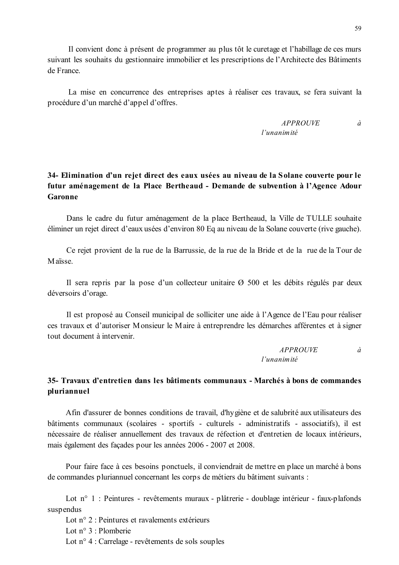Il convient donc à présent de programmer au plus tôt le curetage et l'habillage de ces murs suivant les souhaits du gestionnaire immobilier et les prescriptions de l'Architecte des Bâtiments de France

La mise en concurrence des entreprises aptes à réaliser ces travaux, se fera suivant la procédure d'un marché d'appel d'offres.

## 34- Elimination d'un rejet direct des eaux usées au niveau de la Solane couverte pour le futur aménagement de la Place Bertheaud - Demande de subvention à l'Agence Adour Garonne

Dans le cadre du futur aménagement de la place Bertheaud, la Ville de TULLE souhaite éliminer un rejet direct d'eaux usées d'environ 80 Eq au niveau de la Solane couverte (rive gauche).

Ce rejet provient de la rue de la Barrussie, de la rue de la Bride et de la rue de la Tour de Maïsse

Il sera repris par la pose d'un collecteur unitaire  $\varnothing$  500 et les débits régulés par deux déversoirs d'orage.

Il est proposé au Conseil municipal de solliciter une aide à l'Agence de l'Eau pour réaliser ces travaux et d'autoriser Monsieur le Maire à entreprendre les démarches afférentes et à signer tout document à intervenir

> **APPROUVE**  $\dot{a}$ l'unanimité

## 35- Travaux d'entretien dans les bâtiments communaux - Marchés à bons de commandes pluriannuel

Afin d'assurer de bonnes conditions de travail, d'hygiène et de salubrité aux utilisateurs des bâtiments communaux (scolaires - sportifs - culturels - administratifs - associatifs), il est nécessaire de réaliser annuellement des travaux de réfection et d'entretien de locaux intérieurs, mais également des façades pour les années 2006 - 2007 et 2008.

Pour faire face à ces besoins ponctuels, il conviendrait de mettre en place un marché à bons de commandes pluriannuel concernant les corps de métiers du bâtiment suivants :

Lot n° 1 : Peintures - revêtements muraux - plâtrerie - doublage intérieur - faux-plafonds suspendus

Lot n° 2 : Peintures et ravalements extérieurs Lot  $n^{\circ}$  3 : Plomberie Lot  $n^{\circ}$  4 : Carrelage - revêtements de sols souples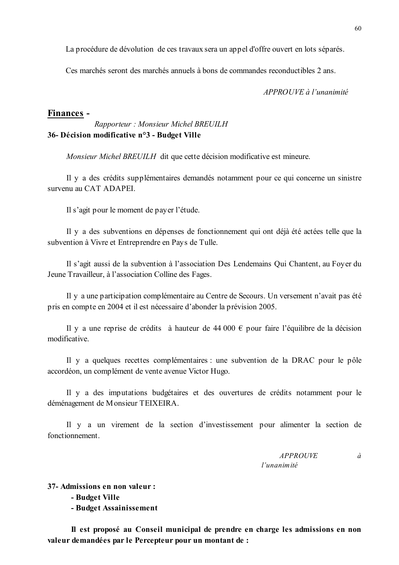La procédure de dévolution de ces travaux sera un appel d'offre ouvert en lots séparés.

Ces marchés seront des marchés annuels à bons de commandes reconductibles 2 ans.

APPROUVE à l'unanimité

#### Finances -

## Rapporteur: Monsieur Michel BREUILH 36- Décision modificative n°3 - Budget Ville

Monsieur Michel BREUILH dit que cette décision modificative est mineure.

Il y a des crédits supplémentaires demandés notamment pour ce qui concerne un sinistre survenu au CAT ADAPEL

Il s'agit pour le moment de payer l'étude.

Il y a des subventions en dépenses de fonctionnement qui ont déjà été actées telle que la subvention à Vivre et Entreprendre en Pays de Tulle.

Il s'agit aussi de la subvention à l'association Des Lendemains Qui Chantent, au Foyer du Jeune Travailleur, à l'association Colline des Fages.

Il y a une participation complémentaire au Centre de Secours. Un versement n'avait pas été pris en compte en 2004 et il est nécessaire d'abonder la prévision 2005.

Il y a une reprise de crédits à hauteur de 44 000  $\epsilon$  pour faire l'équilibre de la décision modificative.

Il y a quelques recettes complémentaires : une subvention de la DRAC pour le pôle accordéon, un complément de vente avenue Victor Hugo.

Il y a des imputations budgétaires et des ouvertures de crédits notamment pour le déménagement de Monsieur TEIXEIRA.

Il y a un virement de la section d'investissement pour alimenter la section de fonctionnement

> *APPROUVE* l'unanimité

 $\dot{a}$ 

37- Admissions en non valeur :

- Budget Ville

- Budget Assainissement

Il est proposé au Conseil municipal de prendre en charge les admissions en non valeur demandées par le Percepteur pour un montant de :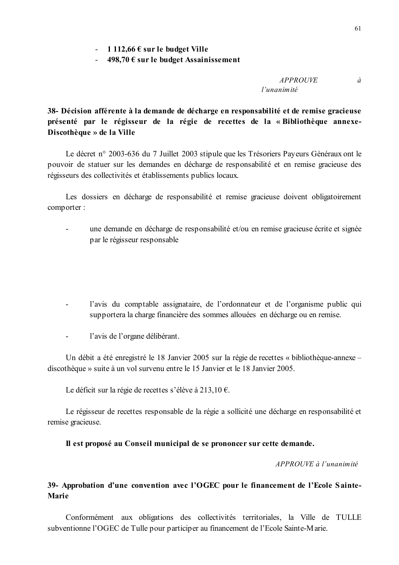$-498,70 \in \text{sur}$  le budget Assainissement

**APPROUVE**  $\partial$  $l'$ unanimité

38- Décision afférente à la demande de décharge en responsabilité et de remise gracieuse présenté par le régisseur de la régie de recettes de la « Bibliothèque annexe-Discothèque » de la Ville

Le décret n° 2003-636 du 7 Juillet 2003 stipule que les Trésoriers Payeurs Généraux ont le pouvoir de statuer sur les demandes en décharge de responsabilité et en remise gracieuse des régisseurs des collectivités et établissements publics locaux.

Les dossiers en décharge de responsabilité et remise gracieuse doivent obligatoirement comporter:

- une demande en décharge de responsabilité et/ou en remise gracieuse écrite et signée par le régisseur responsable
- l'avis du comptable assignataire, de l'ordonnateur et de l'organisme public qui supportera la charge financière des sommes allouées en décharge ou en remise.
- l'avis de l'organe délibérant.  $\Delta \sim 10^4$

Un débit a été enregistré le 18 Janvier 2005 sur la régie de recettes « bibliothèque-annexe – discothèque » suite à un vol survenu entre le 15 Janvier et le 18 Janvier 2005.

Le déficit sur la régie de recettes s'élève à 213,10 €.

Le régisseur de recettes responsable de la régie a sollicité une décharge en responsabilité et remise gracieuse.

#### Il est proposé au Conseil municipal de se prononcer sur cette demande.

APPROUVE à l'unanimité

## 39- Approbation d'une convention avec l'OGEC pour le financement de l'Ecole Sainte-**Marie**

Conformément aux obligations des collectivités territoriales, la Ville de TULLE subventionne l'OGEC de Tulle pour participer au financement de l'Ecole Sainte-Marie.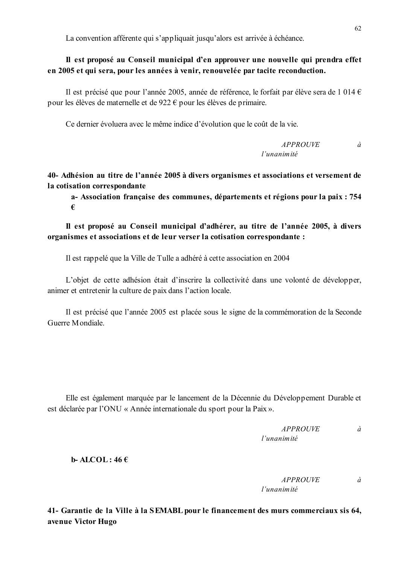La convention afférente qui s'appliquait jusqu'alors est arrivée à échéance.

## Il est proposé au Conseil municipal d'en approuver une nouvelle qui prendra effet en 2005 et qui sera, pour les années à venir, renouvelée par tacite reconduction.

Il est précisé que pour l'année 2005, année de référence, le forfait par élève sera de 1 014 € pour les élèves de maternelle et de 922  $\epsilon$  pour les élèves de primaire.

Ce dernier évoluera avec le même indice d'évolution que le coût de la vie.

**APPROUVE**  $\hat{a}$ l'unanimité

40- Adhésion au titre de l'année 2005 à divers organismes et associations et versement de la cotisation correspondante

a-Association française des communes, départements et régions pour la paix : 754 €

Il est proposé au Conseil municipal d'adhérer, au titre de l'année 2005, à divers organismes et associations et de leur verser la cotisation correspondante :

Il est rappelé que la Ville de Tulle a adhéré à cette association en 2004

L'objet de cette adhésion était d'inscrire la collectivité dans une volonté de développer, animer et entretenir la culture de paix dans l'action locale.

Il est précisé que l'année 2005 est placée sous le signe de la commémoration de la Seconde Guerre Mondiale

Elle est également marquée par le lancement de la Décennie du Développement Durable et est déclarée par l'ONU « Année internationale du sport pour la Paix ».

> $\dot{a}$ *APPROUVE*  $l'$ unanimité

> > à

**b**-ALCOL:  $46 \in$ 

**APPROUVE**  $l'$ unanimité

41- Garantie de la Ville à la SEMABL pour le financement des murs commerciaux sis 64. avenue Victor Hugo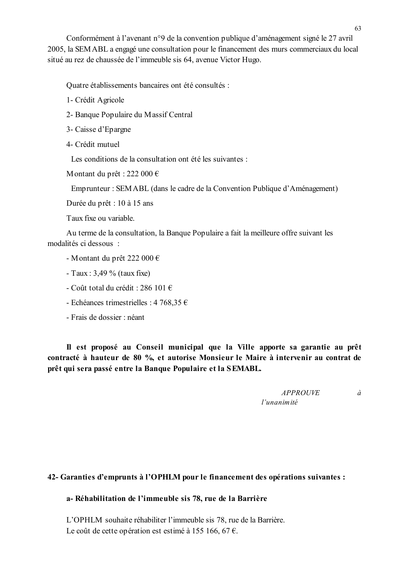Conformément à l'avenant n°9 de la convention publique d'aménagement signé le 27 avril 2005, la SEMABL a engagé une consultation pour le financement des murs commerciaux du local situé au rez de chaussée de l'immeuble sis 64, avenue Victor Hugo.

Quatre établissements bancaires ont été consultés :

- 1- Crédit Agricole
- 2- Banque Populaire du Massif Central
- 3- Caisse d'Epargne
- 4- Crédit mutuel

Les conditions de la consultation ont été les suivantes :

Montant du prêt : 222 000 €

Emprunteur : SEMABL (dans le cadre de la Convention Publique d'Aménagement)

Durée du prêt : 10 à 15 ans

Taux fixe ou variable.

Au terme de la consultation, la Banque Populaire a fait la meilleure offre suivant les modalités ci dessous ·

- Montant du prêt 222 000 €
- Taux :  $3,49%$  (taux fixe)
- Coût total du crédit : 286 101  $\in$
- Echéances trimestrielles : 4 768,35 €
- Frais de dossier : néant

Il est proposé au Conseil municipal que la Ville apporte sa garantie au prêt contracté à hauteur de 80 %, et autorise Monsieur le Maire à intervenir au contrat de prêt qui sera passé entre la Banque Populaire et la SEMABL.

> **APPROUVE** l'unanimité

 $\dot{a}$ 

## 42- Garanties d'emprunts à l'OPHLM pour le financement des opérations suivantes :

#### a-Réhabilitation de l'immeuble sis 78, rue de la Barrière

L'OPHLM souhaite réhabiliter l'immeuble sis 78, rue de la Barrière. Le coût de cette opération est estimé à 155 166, 67 €.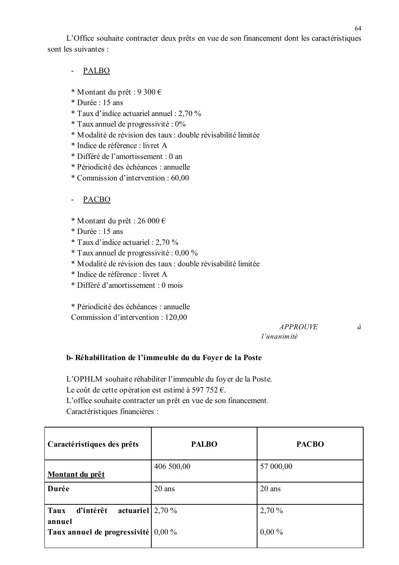L'Office souhaite contracter deux prêts en vue de son financement dont les caractéristiques sont les suivantes ·

- PALBO
- \* Montant du prêt : 9 300 €
- \* Durée : 15 ans
- \* Taux d'indice actuariel annuel : 2,70 %
- \* Taux annuel de progressivité : 0%
- \* Modalité de révision des taux : double révisabilité limitée
- \* Indice de référence · livret A
- \* Différé de l'amortissement : 0 an
- \* Périodicité des échéances : annuelle
- \* Commission d'intervention : 60,00
- **PACBO**  $\omega_{\rm{max}}$
- \* Montant du prêt : 26 000 €
- \* Durée : 15 ans
- \* Taux d'indice actuariel : 2,70 %
- \* Taux annuel de progressivité : 0,00 %
- \* Modalité de révision des taux : double révisabilité limitée
- \* Indice de référence : livret A
- \* Différé d'amortissement : 0 mois

\* Périodicité des échéances : annuelle Commission d'intervention : 120,00

#### **APPROUVE** l'unanimité

#### b-Réhabilitation de l'immeuble du du Foyer de la Poste

L'OPHLM souhaite réhabiliter l'immeuble du foyer de la Poste.

Le coût de cette opération est estimé à 597 752  $\epsilon$ .

L'office souhaite contracter un prêt en vue de son financement. Caractéristiques financières :

| Caractéristiques des prêts                        | <b>PALBO</b> | <b>PACBO</b> |
|---------------------------------------------------|--------------|--------------|
| Montant du prêt                                   | 406 500,00   | 57 000,00    |
| Durée                                             | $20$ ans     | $20$ ans     |
| actuariel $2,70\%$<br>Taux<br>d'intérêt<br>annuel |              | 2,70%        |
| Taux annuel de progressivité $ 0,00\%$            |              | $0,00\%$     |

 $\dot{a}$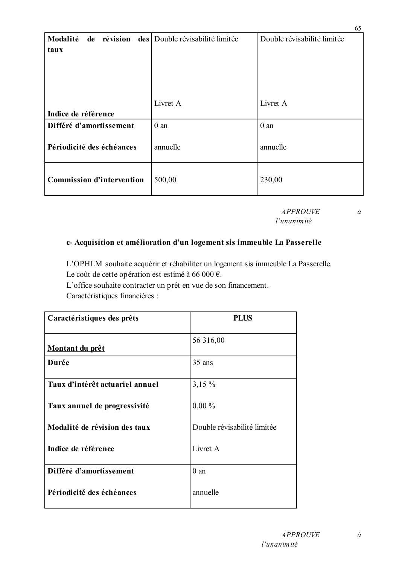| Modalité<br>de révision          | des Double révisabilité limitée | Double révisabilité limitée |
|----------------------------------|---------------------------------|-----------------------------|
| taux                             |                                 |                             |
|                                  |                                 |                             |
|                                  |                                 |                             |
|                                  |                                 |                             |
|                                  | Livret A                        | Livret A                    |
| Indice de référence              |                                 |                             |
| Différé d'amortissement          | $0$ an                          | $0$ an                      |
| Périodicité des échéances        | annuelle                        | annuelle                    |
| <b>Commission d'intervention</b> | 500,00                          | 230,00                      |

**APPROUVE** l'unanimité

# $\hat{a}$

65

## c- Acquisition et amélioration d'un logement sis immeuble La Passerelle

L'OPHLM souhaite acquérir et réhabiliter un logement sis immeuble La Passerelle. Le coût de cette opération est estimé à 66 000 €.

L'office souhaite contracter un prêt en vue de son financement.

Caractéristiques financières :

| Caractéristiques des prêts      | <b>PLUS</b>                 |
|---------------------------------|-----------------------------|
| <u>Montant du prêt</u>          | 56 316,00                   |
| Durée                           | 35 ans                      |
| Taux d'intérêt actuariel annuel | $3,15\%$                    |
| Taux annuel de progressivité    | $0,00\%$                    |
| Modalité de révision des taux   | Double révisabilité limitée |
| Indice de référence             | Livret A                    |
| Différé d'amortissement         | $0$ an                      |
| Périodicité des échéances       | annuelle                    |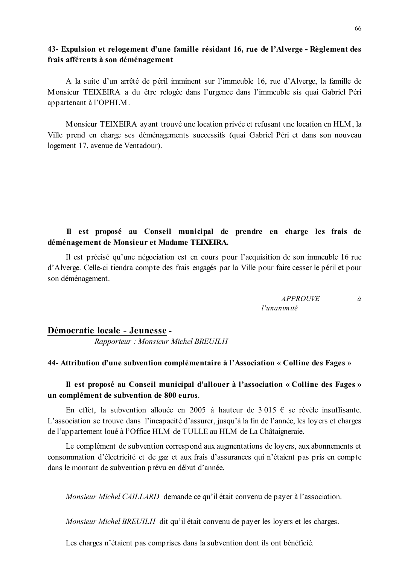## 43- Expulsion et relogement d'une famille résidant 16, rue de l'Alverge - Règlement des frais afférents à son déménagement

A la suite d'un arrêté de péril imminent sur l'immeuble 16, rue d'Alverge, la famille de Monsieur TEIXEIRA a du être relogée dans l'urgence dans l'immeuble sis quai Gabriel Péri appartenant à l'OPHLM.

Monsieur TEIXEIRA avant trouvé une location privée et refusant une location en HLM, la Ville prend en charge ses déménagements successifs (quai Gabriel Péri et dans son nouveau logement 17, avenue de Ventadour).

## Il est proposé au Conseil municipal de prendre en charge les frais de déménagement de Monsieur et Madame TEIXEIRA.

Il est précisé qu'une négociation est en cours pour l'acquisition de son immeuble 16 rue d'Alverge. Celle-ci tiendra compte des frais engagés par la Ville pour faire cesser le péril et pour son déménagement.

> *APPROUVE* l'unanimité

#### Démocratie locale - Jeunesse -

Rapporteur: Monsieur Michel BREUILH

#### 44- Attribution d'une subvention complémentaire à l'Association « Colline des Fages »

### Il est proposé au Conseil municipal d'allouer à l'association « Colline des Fages » un complément de subvention de 800 euros.

En effet, la subvention allouée en 2005 à hauteur de 3 015  $\epsilon$  se révèle insuffisante. L'association se trouve dans l'incapacité d'assurer, jusqu'à la fin de l'année, les loyers et charges de l'appartement loué à l'Office HLM de TULLE au HLM de La Châtaigneraie.

Le complément de subvention correspond aux augmentations de lovers, aux abonnements et consommation d'électricité et de gaz et aux frais d'assurances qui n'étaient pas pris en compte dans le montant de subvention prévu en début d'année.

Monsieur Michel CAILLARD demande ce qu'il était convenu de payer à l'association.

Monsieur Michel BREUILH dit qu'il était convenu de payer les loyers et les charges.

Les charges n'étaient pas comprises dans la subvention dont ils ont bénéficié.

 $\dot{a}$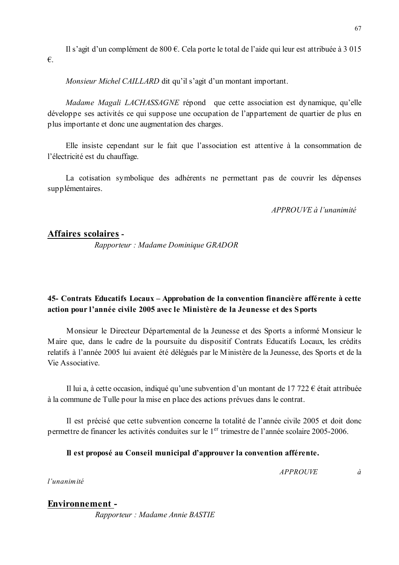Il s'agit d'un complément de  $800 \text{ } \in$ . Cela porte le total de l'aide qui leur est attribuée à 3 015  $\epsilon$ .

Monsieur Michel CAILLARD dit qu'il s'agit d'un montant important.

Madame Magali LACHASSAGNE répond que cette association est dynamique, qu'elle développe ses activités ce qui suppose une occupation de l'appartement de quartier de plus en plus importante et donc une augmentation des charges.

Elle insiste cependant sur le fait que l'association est attentive à la consommation de l'électricité est du chauffage.

La cotisation symbolique des adhérents ne permettant pas de couvrir les dépenses supplémentaires.

APPROUVE à l'unanimité

## Affaires scolaires -

Rapporteur : Madame Dominique GRADOR

## 45- Contrats Educatifs Locaux – Approbation de la convention financière afférente à cette action pour l'année civile 2005 avec le Ministère de la Jeunesse et des Sports

Monsieur le Directeur Départemental de la Jeunesse et des Sports a informé Monsieur le Maire que, dans le cadre de la poursuite du dispositif Contrats Educatifs Locaux, les crédits relatifs à l'année 2005 lui avaient été délégués par le Ministère de la Jeunesse, des Sports et de la Vie Associative.

Il lui a, à cette occasion, indiqué qu'une subvention d'un montant de 17 722  $\epsilon$  était attribuée à la commune de Tulle pour la mise en place des actions prévues dans le contrat.

Il est précisé que cette subvention concerne la totalité de l'année civile 2005 et doit donc permettre de financer les activités conduites sur le 1<sup>er</sup> trimestre de l'année scolaire 2005-2006.

## Il est proposé au Conseil municipal d'approuver la convention afférente.

**APPROUVE** 

 $\dot{a}$ 

l'unanimité

## **Environnement -**

Rapporteur : Madame Annie BASTIE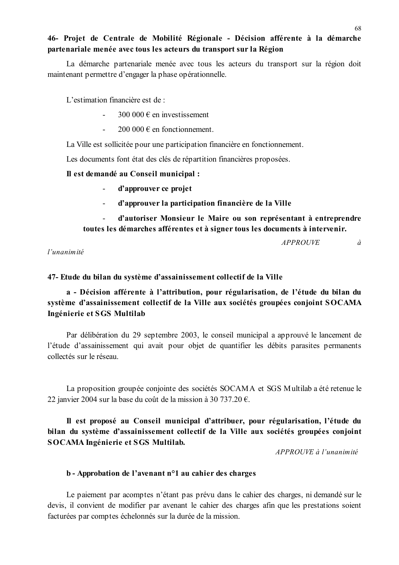## 46- Projet de Centrale de Mobilité Régionale - Décision afférente à la démarche partenariale menée avec tous les acteurs du transport sur la Région

La démarche partenariale menée avec tous les acteurs du transport sur la région doit maintenant permettre d'engager la phase opérationnelle.

L'estimation financière est de :

- 300 000  $\epsilon$  en investissement
- $\overline{a}$ 200 000  $\in$  en fonctionnement.

La Ville est sollicitée pour une participation financière en fonctionnement.

Les documents font état des clés de répartition financières proposées.

#### Il est demandé au Conseil municipal :

- d'approuver ce projet
- d'approuver la participation financière de la Ville  $\mathbf{r}$

d'autoriser Monsieur le Maire ou son représentant à entreprendre  $\overline{a}$ toutes les démarches afférentes et à signer tous les documents à intervenir.

**APPROUVE** 

 $l'$ unanimité

47- Etude du bilan du système d'assainissement collectif de la Ville

## a - Décision afférente à l'attribution, pour régularisation, de l'étude du bilan du système d'assainissement collectif de la Ville aux sociétés groupées conjoint SOCAMA Ingénierie et SGS Multilab

Par délibération du 29 septembre 2003, le conseil municipal a approuvé le lancement de l'étude d'assainissement qui avait pour objet de quantifier les débits parasites permanents collectés sur le réseau.

La proposition groupée conjointe des sociétés SOCAMA et SGS Multilab a été retenue le 22 janvier 2004 sur la base du coût de la mission à 30 737.20  $\epsilon$ .

Il est proposé au Conseil municipal d'attribuer, pour régularisation, l'étude du bilan du système d'assainissement collectif de la Ville aux sociétés groupées conjoint **SOCAMA Ingénierie et SGS Multilab.** 

APPROUVE à l'unanimité

## b - Approbation de l'avenant n°1 au cahier des charges

Le paiement par acomptes n'étant pas prévu dans le cahier des charges, ni demandé sur le devis, il convient de modifier par avenant le cahier des charges afin que les prestations soient facturées par comptes échelonnés sur la durée de la mission.

 $\dot{a}$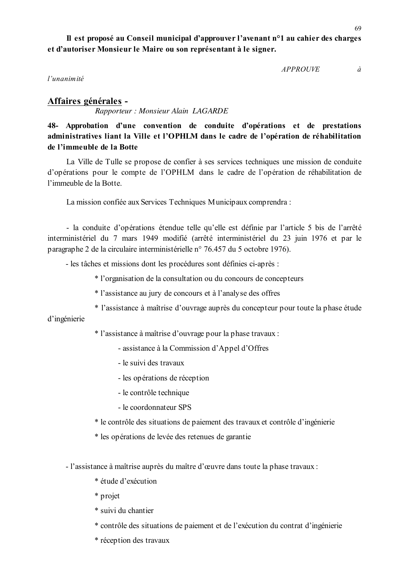Il est proposé au Conseil municipal d'approuver l'avenant n<sup>o</sup>l au cahier des charges et d'autoriser Monsieur le Maire ou son représentant à le signer.

*APPROUVE* 

 $l'$ unanimité

Affaires générales -Rapporteur: Monsieur Alain LAGARDE

48- Approbation d'une convention de conduite d'opérations et de prestations administratives liant la Ville et l'OPHLM dans le cadre de l'opération de réhabilitation de l'immeuble de la Botte

La Ville de Tulle se propose de confier à ses services techniques une mission de conduite d'opérations pour le compte de l'OPHLM dans le cadre de l'opération de réhabilitation de l'immeuble de la Botte

La mission confiée aux Services Techniques Municipaux comprendra :

- la conduite d'opérations étendue telle qu'elle est définie par l'article 5 bis de l'arrêté interministériel du 7 mars 1949 modifié (arrêté interministériel du 23 juin 1976 et par le paragraphe 2 de la circulaire interministérielle n° 76.457 du 5 octobre 1976).

- les tâches et missions dont les procédures sont définies ci-après :
	- \* l'organisation de la consultation ou du concours de concepteurs
	- \* l'assistance au jury de concours et à l'analyse des offres
	- \* l'assistance à maîtrise d'ouvrage auprès du concepteur pour toute la phase étude

d'ingénierie

- \* l'assistance à maîtrise d'ouvrage pour la phase travaux :
	- assistance à la Commission d'Appel d'Offres
	- le suivi des travaux
	- les opérations de réception
	- le contrôle technique
	- le coordonnateur SPS
- \* le contrôle des situations de paiement des travaux et contrôle d'ingénierie
- \* les opérations de levée des retenues de garantie
- l'assistance à maîtrise auprès du maître d'œuvre dans toute la phase travaux :
	- \* étude d'exécution
	- \* projet
	- \* suivi du chantier
	- \* contrôle des situations de paiement et de l'exécution du contrat d'ingénierie
	- \* réception des travaux

à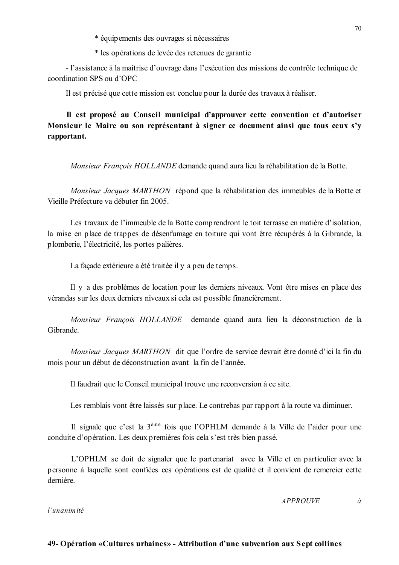- \* équipements des ouvrages si nécessaires
- \* les opérations de levée des retenues de garantie

- l'assistance à la maîtrise d'ouvrage dans l'exécution des missions de contrôle technique de coordination SPS ou d'OPC

Il est précisé que cette mission est conclue pour la durée des travaux à réaliser.

Il est proposé au Conseil municipal d'approuver cette convention et d'autoriser Monsieur le Maire ou son représentant à signer ce document ainsi que tous ceux s'y rapportant.

Monsieur François HOLLANDE demande quand aura lieu la réhabilitation de la Botte.

Monsieur Jacques MARTHON répond que la réhabilitation des immeubles de la Botte et Vieille Préfecture va débuter fin 2005

Les travaux de l'immeuble de la Botte comprendront le toit terrasse en matière d'isolation, la mise en place de trappes de désenfumage en toiture qui vont être récupérés à la Gibrande, la plomberie, l'électricité, les portes palières.

La façade extérieure a été traitée il y a peu de temps.

Il y a des problèmes de location pour les derniers niveaux. Vont être mises en place des vérandas sur les deux derniers niveaux si cela est possible financièrement.

Monsieur François HOLLANDE demande quand aura lieu la déconstruction de la Gibrande

Monsieur Jacques MARTHON dit que l'ordre de service devrait être donné d'ici la fin du mois pour un début de déconstruction avant la fin de l'année.

Il faudrait que le Conseil municipal trouve une reconversion à ce site.

Les remblais vont être laissés sur place. Le contrebas par rapport à la route va diminuer.

Il signale que c'est la 3<sup>ème</sup> fois que l'OPHLM demande à la Ville de l'aider pour une conduite d'opération. Les deux premières fois cela s'est très bien passé.

L'OPHLM se doit de signaler que le partenariat avec la Ville et en particulier avec la personne à laquelle sont confiées ces opérations est de qualité et il convient de remercier cette dernière

> **APPROUVE**  $\hat{a}$

l'unanimité

#### 49- Opération «Cultures urbaines» - Attribution d'une subvention aux Sept collines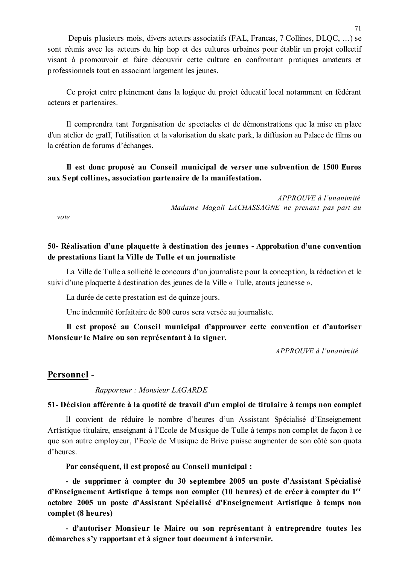Depuis plusieurs mois, divers acteurs associatifs (FAL, Francas, 7 Collines, DLQC, ...) se sont réunis avec les acteurs du hip hop et des cultures urbaines pour établir un projet collectif visant à promouvoir et faire découvrir cette culture en confrontant pratiques amateurs et professionnels tout en associant largement les jeunes.

Ce projet entre pleinement dans la logique du projet éducatif local notamment en fédérant acteurs et partenaires.

Il comprendra tant l'organisation de spectacles et de démonstrations que la mise en place d'un atelier de graff, l'utilisation et la valorisation du skate park, la diffusion au Palace de films ou la création de forums d'échanges.

Il est donc proposé au Conseil municipal de verser une subvention de 1500 Euros aux Sept collines, association partenaire de la manifestation.

> $APPROIIVE \doteq l'unanimité$ Madame Magali LACHASSAGNE ne prenant pas part au

 $vote$ 

### 50- Réalisation d'une plaquette à destination des jeunes - Approbation d'une convention de prestations liant la Ville de Tulle et un journaliste

La Ville de Tulle a sollicité le concours d'un journaliste pour la conception, la rédaction et le suivi d'une plaquette à destination des jeunes de la Ville « Tulle, atouts jeunesse ».

La durée de cette prestation est de quinze jours.

Une indemnité forfaitaire de 800 euros sera versée au journaliste.

Il est proposé au Conseil municipal d'approuver cette convention et d'autoriser Monsieur le Maire ou son représentant à la signer.

APPROUVE à l'unanimité

#### Personnel-

Rapporteur: Monsieur LAGARDE

#### 51- Décision afférente à la quotité de travail d'un emploi de titulaire à temps non complet

Il convient de réduire le nombre d'heures d'un Assistant Spécialisé d'Enseignement Artistique titulaire, enseignant à l'Ecole de Musique de Tulle à temps non complet de façon à ce que son autre employeur, l'Ecole de Musique de Brive puisse augmenter de son côté son quota d'heures.

Par conséquent, il est proposé au Conseil municipal :

- de supprimer à compter du 30 septembre 2005 un poste d'Assistant Spécialisé d'Enseignement Artistique à temps non complet (10 heures) et de créer à compter du 1<sup>er</sup> octobre 2005 un poste d'Assistant Spécialisé d'Enseignement Artistique à temps non complet (8 heures)

- d'autoriser Monsieur le Maire ou son représentant à entreprendre toutes les démarches s'y rapportant et à signer tout document à intervenir.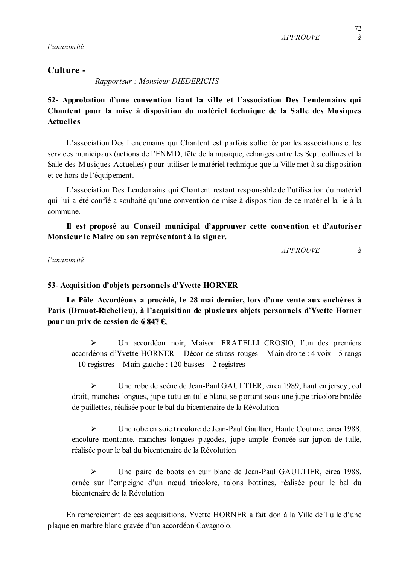l'unanimité

## Culture -

Rapporteur: Monsieur DIEDERICHS

52- Approbation d'une convention liant la ville et l'association Des Lendemains qui Chantent pour la mise à disposition du matériel technique de la Salle des Musiques **Actuelles** 

L'association Des Lendemains qui Chantent est parfois sollicitée par les associations et les services municipaux (actions de l'ENMD, fête de la musique, échanges entre les Sept collines et la Salle des Musiques Actuelles) pour utiliser le matériel technique que la Ville met à sa disposition et ce hors de l'équipement.

L'association Des Lendemains qui Chantent restant responsable de l'utilisation du matériel qui lui a été confié a souhaité qu'une convention de mise à disposition de ce matériel la lie à la commune

Il est proposé au Conseil municipal d'approuver cette convention et d'autoriser Monsieur le Maire ou son représentant à la signer.

> **APPROUVE**  $\dot{a}$

## l'unanimité

## 53- Acquisition d'objets personnels d'Yvette HORNER

Le Pôle Accordéons a procédé, le 28 mai dernier, lors d'une vente aux enchères à Paris (Drouot-Richelieu), à l'acquisition de plusieurs objets personnels d'Yvette Horner pour un prix de cession de 6 847  $\epsilon$ .

 $\blacktriangleright$ Un accordéon noir, Maison FRATELLI CROSIO, l'un des premiers accordéons d'Yvette HORNER – Décor de strass rouges – Main droite : 4 voix – 5 rangs  $-10$  registres  $-$  M ain gauche : 120 basses  $-2$  registres

 $\blacktriangleright$ Une robe de scène de Jean-Paul GAULTIER, circa 1989, haut en jersey, col droit, manches longues, jupe tutu en tulle blanc, se portant sous une jupe tricolore brodée de paillettes, réalisée pour le bal du bicentenaire de la Révolution

 $\blacktriangleright$ Une robe en soie tricolore de Jean-Paul Gaultier, Haute Couture, circa 1988, encolure montante, manches longues pagodes, jupe ample froncée sur jupon de tulle, réalisée pour le bal du bicentenaire de la Révolution

 $\blacktriangleright$ Une paire de boots en cuir blanc de Jean-Paul GAULTIER, circa 1988, ornée sur l'empeigne d'un nœud tricolore, talons bottines, réalisée pour le bal du bicentenaire de la Révolution

En remerciement de ces acquisitions, Yvette HORNER a fait don à la Ville de Tulle d'une plaque en marbre blanc gravée d'un accordéon Cavagnolo.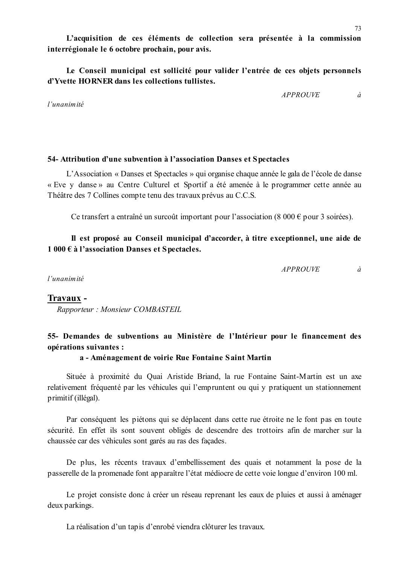Le Conseil municipal est sollicité pour valider l'entrée de ces obiets personnels d'Yvette HORNER dans les collections tullistes.

 $APPROIIVE$ 

l'unanimité

## 54- Attribution d'une subvention à l'association Danses et Spectacles

L'Association « Danses et Spectacles » qui organise chaque année le gala de l'école de danse « Eve y danse » au Centre Culturel et Sportif a été amenée à le programmer cette année au Théâtre des 7 Collines compte tenu des travaux prévus au C.C.S.

Ce transfert a entraîné un surcoût important pour l'association (8 000 € pour 3 soirées).

## Il est proposé au Conseil municipal d'accorder, à titre exceptionnel, une aide de  $1000 \text{ E}$  à l'association Danses et Spectacles.

**APPROUVE**  $\partial$ 

l'unanimité

### Travaux -

Rapporteur: Monsieur COMBASTEIL

# 55- Demandes de subventions au Ministère de l'Intérieur pour le financement des opérations suivantes :

### a - Aménagement de voirie Rue Fontaine Saint Martin

Située à proximité du Quai Aristide Briand, la rue Fontaine Saint-Martin est un axe relativement fréquenté par les véhicules qui l'empruntent ou qui y pratiquent un stationnement primitif (illégal).

Par conséquent les piétons qui se déplacent dans cette rue étroite ne le font pas en toute sécurité. En effet ils sont souvent obligés de descendre des trottoirs afin de marcher sur la chaussée car des véhicules sont garés au ras des façades.

De plus, les récents travaux d'embellissement des quais et notamment la pose de la passerelle de la promenade font apparaître l'état médiocre de cette voie longue d'environ 100 ml.

Le projet consiste donc à créer un réseau reprenant les eaux de pluies et aussi à aménager deux parkings.

La réalisation d'un tapis d'enrobé viendra clôturer les travaux.

 $\partial$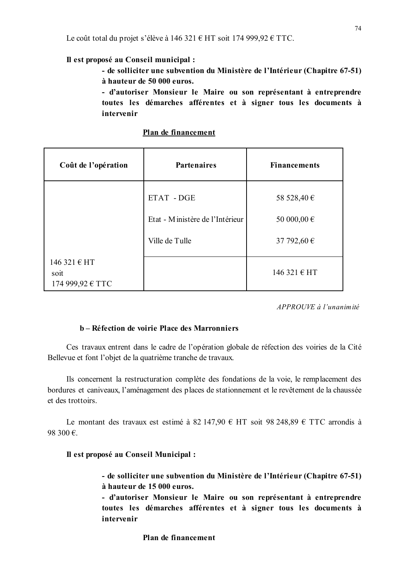#### Il est proposé au Conseil municipal :

- de solliciter une subvention du Ministère de l'Intérieur (Chapitre 67-51) à hauteur de 50 000 euros.

- d'autoriser Monsieur le Maire ou son représentant à entreprendre toutes les démarches afférentes et à signer tous les documents à intervenir

Plan de financement

| Coût de l'opération                      | <b>Partenaires</b>                                              | <b>Financements</b>                       |
|------------------------------------------|-----------------------------------------------------------------|-------------------------------------------|
|                                          | ETAT - DGE<br>Etat - Ministère de l'Intérieur<br>Ville de Tulle | 58 528,40 €<br>50 000,00 €<br>37 792,60 € |
| 146 321 € HT<br>soit<br>174 999,92 € TTC |                                                                 | 146 321 € HT                              |

APPROUVE à l'unanimité

## b – Réfection de voirie Place des Marronniers

Ces travaux entrent dans le cadre de l'opération globale de réfection des voiries de la Cité Bellevue et font l'objet de la quatrième tranche de travaux.

Ils concernent la restructuration complète des fondations de la voie, le remplacement des bordures et caniveaux, l'aménagement des places de stationnement et le revêtement de la chaussée et des trottoirs.

Le montant des travaux est estimé à 82 147,90 € HT soit 98 248,89 € TTC arrondis à 98 300 €.

#### Il est proposé au Conseil Municipal :

- de solliciter une subvention du Ministère de l'Intérieur (Chapitre 67-51) à hauteur de 15 000 euros.

- d'autoriser Monsieur le Maire ou son représentant à entreprendre toutes les démarches afférentes et à signer tous les documents à intervenir

#### Plan de financement